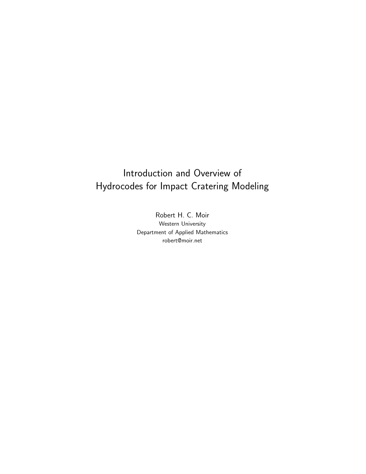## Introduction and Overview of Hydrocodes for Impact Cratering Modeling

Robert H. C. Moir Western University Department of Applied Mathematics robert@moir.net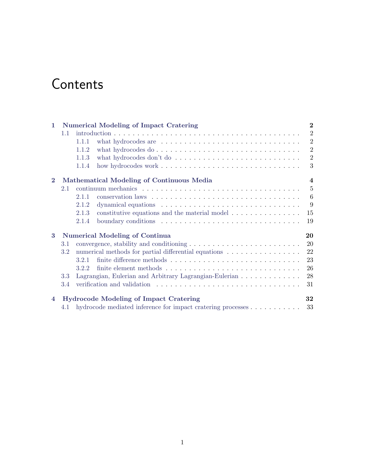# **Contents**

| $\mathbf{1}$   | <b>Numerical Modeling of Impact Cratering</b>                        |       |                                                                                            | $\overline{2}$ |
|----------------|----------------------------------------------------------------------|-------|--------------------------------------------------------------------------------------------|----------------|
|                | 1.1                                                                  |       |                                                                                            | $\overline{2}$ |
|                |                                                                      | 1.1.1 | what hydrocodes are $\dots \dots \dots \dots \dots \dots \dots \dots \dots \dots \dots$    | $\overline{2}$ |
|                |                                                                      | 1.1.2 | what hydrocodes $do \ldots \ldots \ldots \ldots \ldots \ldots \ldots \ldots \ldots \ldots$ | $\overline{2}$ |
|                |                                                                      | 1.1.3 | what hydrocodes don't do $\dots \dots \dots \dots \dots \dots \dots \dots \dots \dots$     | $\overline{2}$ |
|                |                                                                      | 1.1.4 |                                                                                            | 3              |
| $\mathbf{2}$   | Mathematical Modeling of Continuous Media<br>$\overline{\mathbf{4}}$ |       |                                                                                            |                |
|                | 2.1                                                                  |       |                                                                                            | $\overline{5}$ |
|                |                                                                      | 2.1.1 |                                                                                            | 6              |
|                |                                                                      | 2.1.2 |                                                                                            | 9              |
|                |                                                                      | 2.1.3 | constitutive equations and the material model $\dots \dots \dots \dots$                    | 15             |
|                |                                                                      | 2.1.4 | boundary conditions $\dots \dots \dots \dots \dots \dots \dots \dots \dots \dots$          | 19             |
| 3              | <b>Numerical Modeling of Continua</b>                                |       |                                                                                            | 20             |
|                | 3.1                                                                  |       | convergence, stability and conditioning $\dots \dots \dots \dots \dots \dots \dots \dots$  | 20             |
|                | $3.2\,$                                                              |       | numerical methods for partial differential equations $\dots \dots \dots \dots \dots$       | 22             |
|                |                                                                      | 3.2.1 |                                                                                            | 23             |
|                |                                                                      | 3.2.2 |                                                                                            | 26             |
|                | 3.3                                                                  |       | Lagrangian, Eulerian and Arbitrary Lagrangian-Eulerian                                     | 28             |
|                | 3.4                                                                  |       |                                                                                            | 31             |
| $\overline{4}$ | <b>Hydrocode Modeling of Impact Cratering</b>                        |       |                                                                                            | 32             |
|                |                                                                      |       | 4.1 hydrocode mediated inference for impact cratering processes                            | 33             |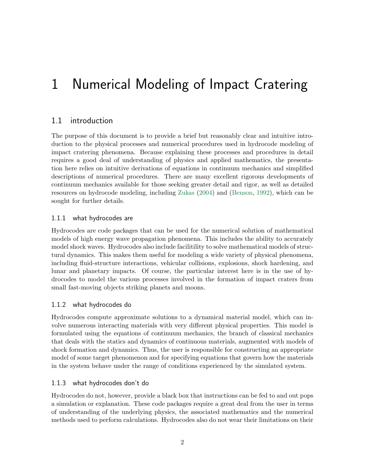# <span id="page-2-0"></span>1 Numerical Modeling of Impact Cratering

## <span id="page-2-1"></span>1.1 introduction

The purpose of this document is to provide a brief but reasonably clear and intuitive introduction to the physical processes and numerical procedures used in hydrocode modeling of impact cratering phenomena. Because explaining these processes and procedures in detail requires a good deal of understanding of physics and applied mathematics, the presentation here relies on intuitive derivations of equations in continuum mechanics and simplified descriptions of numerical procedures. There are many excellent rigorous developments of continuum mechanics available for those seeking greater detail and rigor, as well as detailed resources on hydrocode modeling, including [Zukas](#page-37-0) [\(2004\)](#page-37-0) and [\(Benson,](#page-36-0) [1992\)](#page-36-0), which can be sought for further details.

### <span id="page-2-2"></span>1.1.1 what hydrocodes are

Hydrocodes are code packages that can be used for the numerical solution of mathematical models of high energy wave propagation phenomena. This includes the ability to accurately model shock waves. Hydrocodes also include facilitility to solve mathematical models of structural dynamics. This makes them useful for modeling a wide variety of physical phenomena, including fluid-structure interactions, vehicular collisions, explosions, shock hardening, and lunar and planetary impacts. Of course, the particular interest here is in the use of hydrocodes to model the various processes involved in the formation of impact craters from small fast-moving objects striking planets and moons.

### <span id="page-2-3"></span>1.1.2 what hydrocodes do

Hydrocodes compute approximate solutions to a dynamical material model, which can involve numerous interacting materials with very different physical properties. This model is formulated using the equations of continuum mechanics, the branch of classical mechanics that deals with the statics and dynamics of continuous materials, augmented with models of shock formation and dynamics. Thus, the user is responsible for constructing an appropriate model of some target phenomenon and for specifying equations that govern how the materials in the system behave under the range of conditions experienced by the simulated system.

### <span id="page-2-4"></span>1.1.3 what hydrocodes don't do

Hydrocodes do not, however, provide a black box that instructions can be fed to and out pops a simulation or explanation. These code packages require a great deal from the user in terms of understanding of the underlying physics, the associated mathematics and the numerical methods used to perform calculations. Hydrocodes also do not wear their limitations on their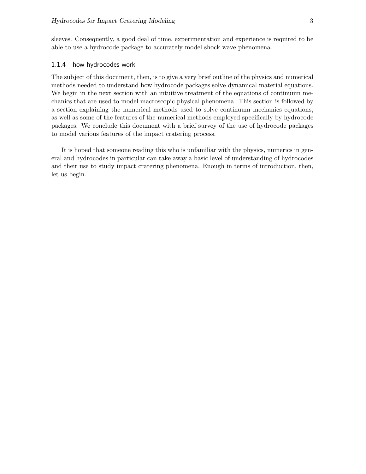sleeves. Consequently, a good deal of time, experimentation and experience is required to be able to use a hydrocode package to accurately model shock wave phenomena.

#### <span id="page-3-0"></span>1.1.4 how hydrocodes work

The subject of this document, then, is to give a very brief outline of the physics and numerical methods needed to understand how hydrocode packages solve dynamical material equations. We begin in the next section with an intuitive treatment of the equations of continuum mechanics that are used to model macroscopic physical phenomena. This section is followed by a section explaining the numerical methods used to solve continuum mechanics equations, as well as some of the features of the numerical methods employed specifically by hydrocode packages. We conclude this document with a brief survey of the use of hydrocode packages to model various features of the impact cratering process.

It is hoped that someone reading this who is unfamiliar with the physics, numerics in general and hydrocodes in particular can take away a basic level of understanding of hydrocodes and their use to study impact cratering phenomena. Enough in terms of introduction, then, let us begin.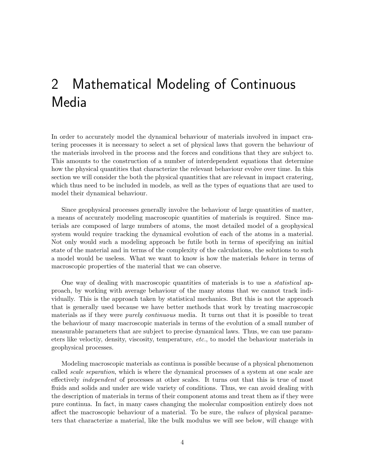# <span id="page-4-0"></span>2 Mathematical Modeling of Continuous Media

In order to accurately model the dynamical behaviour of materials involved in impact cratering processes it is necessary to select a set of physical laws that govern the behaviour of the materials involved in the process and the forces and conditions that they are subject to. This amounts to the construction of a number of interdependent equations that determine how the physical quantities that characterize the relevant behaviour evolve over time. In this section we will consider the both the physical quantities that are relevant in impact cratering, which thus need to be included in models, as well as the types of equations that are used to model their dynamical behaviour.

Since geophysical processes generally involve the behaviour of large quantities of matter, a means of accurately modeling macroscopic quantities of materials is required. Since materials are composed of large numbers of atoms, the most detailed model of a geophysical system would require tracking the dynamical evolution of each of the atoms in a material. Not only would such a modeling approach be futile both in terms of specifying an initial state of the material and in terms of the complexity of the calculations, the solutions to such a model would be useless. What we want to know is how the materials behave in terms of macroscopic properties of the material that we can observe.

One way of dealing with macroscopic quantities of materials is to use a *statistical* approach, by working with average behaviour of the many atoms that we cannot track individually. This is the approach taken by statistical mechanics. But this is not the approach that is generally used because we have better methods that work by treating macroscopic materials as if they were *purely continuous* media. It turns out that it is possible to treat the behaviour of many macroscopic materials in terms of the evolution of a small number of measurable parameters that are subject to precise dynamical laws. Thus, we can use parameters like veloctiy, density, viscosity, temperature, etc., to model the behaviour materials in geophysical processes.

Modeling macroscopic materials as continua is possible because of a physical phenomenon called scale separation, which is where the dynamical processes of a system at one scale are effectively independent of processes at other scales. It turns out that this is true of most fluids and solids and under are wide variety of conditions. Thus, we can avoid dealing with the description of materials in terms of their component atoms and treat them as if they were pure continua. In fact, in many cases changing the molecular composition entirely does not affect the macroscopic behaviour of a material. To be sure, the values of physical parameters that characterize a material, like the bulk modulus we will see below, will change with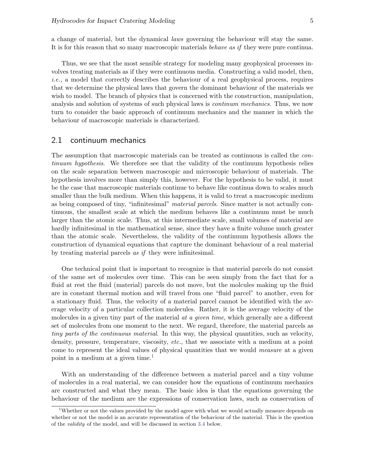a change of material, but the dynamical laws governing the behaviour will stay the same. It is for this reason that so many macroscopic materials *behave as if* they were pure continua.

Thus, we see that the most sensible strategy for modeling many geophysical processes involves treating materials as if they were continuous media. Constructing a valid model, then, i.e., a model that correctly describes the behaviour of a real geophysical process, requires that we determine the physical laws that govern the dominant behaviour of the materials we wish to model. The branch of physics that is concerned with the construction, manipulation, analysis and solution of systems of such physical laws is continum mechanics. Thus, we now turn to consider the basic approach of continuum mechanics and the manner in which the behaviour of macroscopic materials is characterized.

### <span id="page-5-0"></span>2.1 continuum mechanics

The assumption that macroscopic materials can be treated as continuous is called the continuum hypothesis. We therefore see that the validity of the continuum hypothesis relies on the scale separation between macroscopic and microscopic behaviour of materials. The hypothesis involves more than simply this, however. For the hypothesis to be valid, it must be the case that macroscopic materials continue to behave like continua down to scales much smaller than the bulk medium. When this happens, it is valid to treat a macroscopic medium as being composed of tiny, "infinitesimal" material parcels. Since matter is not actually continuous, the smallest scale at which the medium behaves like a continuum must be much larger than the atomic scale. Thus, at this intermediate scale, small volumes of material are hardly infinitesimal in the mathematical sense, since they have a finite volume much greater than the atomic scale. Nevertheless, the validity of the continuum hypothesis allows the construction of dynamical equations that capture the dominant behaviour of a real material by treating material parcels as if they were infinitesimal.

One technical point that is important to recognize is that material parcels do not consist of the same set of molecules over time. This can be seen simply from the fact that for a fluid at rest the fluid (material) parcels do not move, but the molcules making up the fluid are in constant thermal motion and will travel from one "fluid parcel" to another, even for a stationary fluid. Thus, the velocity of a material parcel cannot be identified with the average velocity of a particular collection molecules. Rather, it is the average velocity of the molecules in a given tiny part of the material at a given time, which generally are a different set of molecules from one moment to the next. We regard, therefore, the material parcels as tiny parts of the continuous material. In this way, the physical quantities, such as velocity, density, pressure, temperature, viscosity, etc., that we associate with a medium at a point come to represent the ideal values of physical quantities that we would measure at a given point in a medium at a given time.<sup>[1](#page-5-1)</sup>

With an understanding of the difference between a material parcel and a tiny volume of molecules in a real material, we can consider how the equations of continuum mechanics are constructed and what they mean. The basic idea is that the equations governing the behaviour of the medium are the expressions of conservation laws, such as conservation of

<span id="page-5-1"></span><sup>&</sup>lt;sup>1</sup>Whether or not the values provided by the model agree with what we would actually measure depends on whether or not the model is an accurate representation of the behaviour of the material. This is the question of the validity of the model, and will be discussed in section [3.4](#page-31-0) below.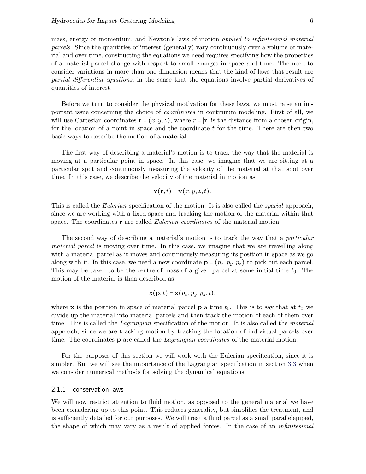mass, energy or momentum, and Newton's laws of motion applied to infinitesimal material parcels. Since the quantities of interest (generally) vary continuously over a volume of material and over time, constructing the equations we need requires specifying how the properties of a material parcel change with respect to small changes in space and time. The need to consider variations in more than one dimension means that the kind of laws that result are partial differential equations, in the sense that the equations involve partial derivatives of quantities of interest.

Before we turn to consider the physical motivation for these laws, we must raise an important issue concerning the choice of coordinates in continuum modeling. First of all, we will use Cartesian coordinates  $\mathbf{r} = (x, y, z)$ , where  $r = |\mathbf{r}|$  is the distance from a chosen origin, for the location of a point in space and the coordinate  $t$  for the time. There are then two basic ways to describe the motion of a material.

The first way of describing a material's motion is to track the way that the material is moving at a particular point in space. In this case, we imagine that we are sitting at a particular spot and continuously measuring the velocity of the material at that spot over time. In this case, we describe the velocity of the material in motion as

$$
\mathbf{v}(\mathbf{r},t) = \mathbf{v}(x,y,z,t).
$$

This is called the *Eulerian* specification of the motion. It is also called the *spatial* approach, since we are working with a fixed space and tracking the motion of the material within that space. The coordinates  $\bf{r}$  are called *Eulerian coordinates* of the material motion.

The second way of describing a material's motion is to track the way that a *particular* material parcel is moving over time. In this case, we imagine that we are travelling along with a material parcel as it moves and continuously measuring its position in space as we go along with it. In this case, we need a new coordinate  $\mathbf{p} = (p_x, p_y, p_z)$  to pick out each parcel. This may be taken to be the centre of mass of a given parcel at some initial time  $t_0$ . The motion of the material is then described as

$$
\mathbf{x}(\mathbf{p},t) = \mathbf{x}(p_x,p_y,p_z,t),
$$

where **x** is the position in space of material parcel **p** a time  $t_0$ . This is to say that at  $t_0$  we divide up the material into material parcels and then track the motion of each of them over time. This is called the *Lagrangian* specification of the motion. It is also called the *material* approach, since we are tracking motion by tracking the location of individual parcels over time. The coordinates **p** are called the *Lagrangian coordinates* of the material motion.

For the purposes of this section we will work with the Eulerian specification, since it is simpler. But we will see the importance of the Lagrangian specification in section [3.3](#page-28-0) when we consider numerical methods for solving the dynamical equations.

### <span id="page-6-0"></span>2.1.1 conservation laws

We will now restrict attention to fluid motion, as opposed to the general material we have been considering up to this point. This reduces generality, but simplifies the treatment, and is sufficiently detailed for our purposes. We will treat a fluid parcel as a small parallelepiped, the shape of which may vary as a result of applied forces. In the case of an infinitesimal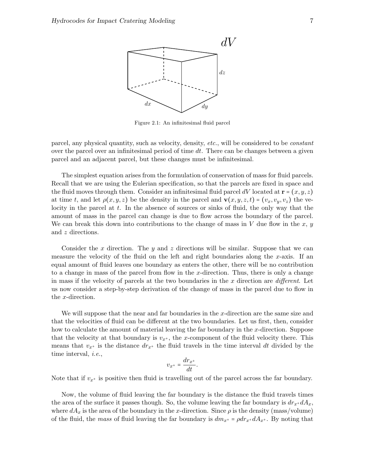

Figure 2.1: An infinitesimal fluid parcel

parcel, any physical quantity, such as velocity, density, etc., will be considered to be constant over the parcel over an infinitesimal period of time  $dt$ . There can be changes between a given parcel and an adjacent parcel, but these changes must be infinitesimal.

The simplest equation arises from the formulation of conservation of mass for fluid parcels. Recall that we are using the Eulerian specification, so that the parcels are fixed in space and the fluid moves through them. Consider an infinitesimal fluid parcel dV located at  $\mathbf{r} = (x, y, z)$ at time t, and let  $\rho(x, y, z)$  be the density in the parcel and  $\mathbf{v}(x, y, z, t) = (v_x, v_y, v_z)$  the velocity in the parcel at  $t$ . In the absence of sources or sinks of fluid, the only way that the amount of mass in the parcel can change is due to flow across the boundary of the parcel. We can break this down into contributions to the change of mass in  $V$  due flow in the  $x, y$ and z directions.

Consider the x direction. The y and z directions will be similar. Suppose that we can measure the velocity of the fluid on the left and right boundaries along the  $x$ -axis. If an equal amount of fluid leaves one boundary as enters the other, there will be no contribution to a change in mass of the parcel from flow in the x-direction. Thus, there is only a change in mass if the velocity of parcels at the two boundaries in the x direction are *different*. Let us now consider a step-by-step derivation of the change of mass in the parcel due to flow in the x-direction.

We will suppose that the near and far boundaries in the x-direction are the same size and that the velocities of fluid can be different at the two boundaries. Let us first, then, consider how to calculate the amount of material leaving the far boundary in the x-direction. Suppose that the velocity at that boundary is  $v_{x+}$ , the x-component of the fluid velocity there. This means that  $v_{x^+}$  is the distance  $dr_{x^+}$  the fluid travels in the time interval dt divided by the time interval, i.e.,

$$
v_{x^+} = \frac{dr_{x^+}}{dt}.
$$

Note that if  $v_{x+}$  is positive then fluid is travelling out of the parcel across the far boundary.

Now, the volume of fluid leaving the far boundary is the distance the fluid travels times the area of the surface it passes though. So, the volume leaving the far boundary is  $dr_{x}$ +d $A_x$ , where  $dA_x$  is the area of the boundary in the x-direction. Since  $\rho$  is the density (mass/volume) of the fluid, the mass of fluid leaving the far boundary is  $dm_{x^+} = \rho dr_{x^+} dA_{x^+}$ . By noting that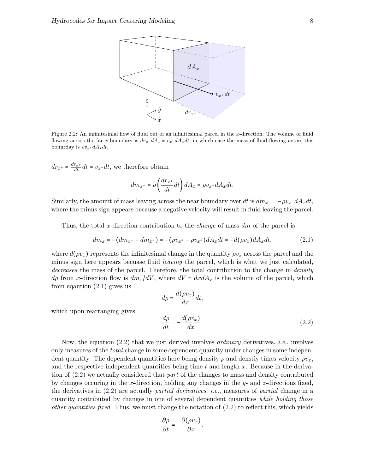

Figure 2.2: An infinitesimal flow of fluid out of an infinitesimal parcel in the x-direction. The volume of fluid flowing across the far x-boundary is  $dr_{x} + dA_x = v_{x} + dA_x dt$ , in which case the mass of fluid flowing across this bounrday is  $\rho v_{x} + dA_x dt$ .

 $dr_{x^+} = \frac{dr_{x^+}}{dt} dt = v_{x^+} dt$ , we therefore obtain

$$
dm_{x^+} = \rho \left(\frac{dr_{x^+}}{dt}dt\right) dA_x = \rho v_{x^+} dA_x dt.
$$

Similarly, the amount of mass leaving across the near boundary over dt is  $dm_{x^-} = -\rho v_x - dA_x dt$ , where the minus sign appears because a negative velocity will result in fluid leaving the parcel.

Thus, the total x-direction contribution to the *change* of mass  $dm$  of the parcel is

<span id="page-8-0"></span>
$$
dm_x = -(dm_{x^+} + dm_{x^-}) = -(\rho v_{x^+} - \rho v_{x^+})dA_xdt = -d(\rho v_x)dA_xdt, \qquad (2.1)
$$

where  $d(\rho v_x)$  represents the infinitesimal change in the quantity  $\rho v_x$  across the parcel and the minus sign here appears becuase fluid leaving the parcel, which is what we just calculated, decreases the mass of the parcel. Therefore, the total contribution to the change in *density*  $d\rho$  from x-direction flow is  $dm_x/dV$ , where  $dV = dx dA_x$  is the volume of the parcel, which from equation  $(2.1)$  gives us

$$
d\rho = \frac{d(\rho v_x)}{dx} dt,
$$

which upon rearranging gives

<span id="page-8-1"></span>
$$
\frac{d\rho}{dt} = -\frac{d(\rho v_x)}{dx}.\tag{2.2}
$$

Now, the equation  $(2.2)$  that we just derived involves *ordinary* derivatives, *i.e.*, involves only measures of the total change in some dependent quantity under changes in some independent quantity. The dependent quantities here being density  $\rho$  and denstiy times velocity  $\rho v_x$ , and the respective independent quantities being time  $t$  and length  $x$ . Because in the derivation of [\(2.2\)](#page-8-1) we actually considered that part of the changes to mass and density contributed by changes occuring in the x-direction, holding any changes in the  $y$ - and  $z$ -directions fixed, the derivatives in [\(2.2\)](#page-8-1) are actually partial derivatives, i.e., measures of partial change in a quantity contributed by changes in one of several dependent quantities while holding those *other quantities fixed.* Thus, we must change the notation of  $(2.2)$  to reflect this, which yields

$$
\frac{\partial \rho}{\partial t} = -\frac{\partial (\rho v_x)}{\partial x}.
$$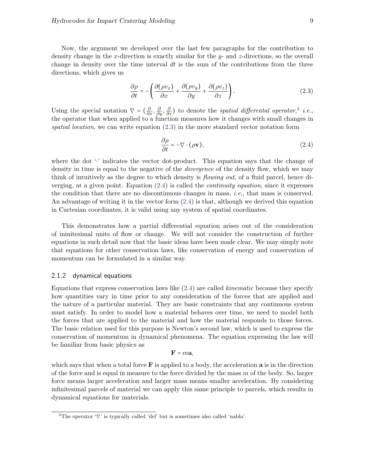Now, the argument we developed over the last few paragraphs for the contribution to density change in the x-direction is exactly similar for the  $y$ - and  $z$ -directions, so the overall change in density over the time interval  $dt$  is the sum of the contributions from the three directions, which gives us

<span id="page-9-2"></span>
$$
\frac{\partial \rho}{\partial t} = -\left(\frac{\partial (\rho v_x)}{\partial x} + \frac{\partial (\rho v_y)}{\partial y} + \frac{\partial (\rho v_z)}{\partial z}\right). \tag{2.3}
$$

Using the special notation  $\nabla = \left(\frac{\partial}{\partial x}, \frac{\partial}{\partial y}, \frac{\partial}{\partial z}\right)$  to denote the spatial differental operator,<sup>[2](#page-9-1)</sup> i.e., the operator that when applied to a function measures how it changes with small changes in spatial location, we can write equation  $(2.3)$  in the more standard vector notation form

<span id="page-9-3"></span>
$$
\frac{\partial \rho}{\partial t} = -\nabla \cdot (\rho \mathbf{v}),\tag{2.4}
$$

where the dot '⋅' indicates the vector dot-product. This equation says that the change of density in time is equal to the negative of the *divergence* of the density flow, which we may think of intuitively as the degree to which density is *flowing out*, of a fluid parcel, hence diverging, at a given point. Equation  $(2.4)$  is called the *continuity equation*, since it expresses the condition that there are no discontinuous changes in mass, i.e., that mass is conserved. An advantage of writing it in the vector form [\(2.4\)](#page-9-3) is that, although we derived this equation in Cartesian coordinates, it is valid using any system of spatial coordinates.

This demonstrates how a partial differential equation arises out of the consideration of ininitesimal units of flow or change. We will not consider the construction of further equations in such detail now that the basic ideas have been made clear. We may simply note that equations for other conservation laws, like conservation of energy and conservation of momentum can be formulated in a similar way.

### <span id="page-9-0"></span>2.1.2 dynamical equations

Equations that express conservation laws like [\(2.4\)](#page-9-3) are called kinematic because they specify how quantities vary in time prior to any consideration of the forces that are applied and the nature of a particular material. They are basic constraints that any continuous system must satisfy. In order to model how a material behaves over time, we need to model both the forces that are applied to the material and how the material responds to those forces. The basic relation used for this purpose is Newton's second law, which is used to express the conservation of momentum in dynamical phenomena. The equation expressing the law will be familiar from basic physics as

$$
\mathbf{F} = m\mathbf{a},
$$

which says that when a total force  $\bf{F}$  is applied to a body, the acceleration  $\bf{a}$  is in the direction of the force and is equal in measure to the force divided by the mass  $m$  of the body. So, larger force means larger acceleration and larger mass means smaller acceleration. By considering infinitesimal parcels of material we can apply this same principle to parcels, which results in dynamical equations for materials.

<span id="page-9-1"></span><sup>&</sup>lt;sup>2</sup>The operator ' $\nabla$ ' is typically called 'del' but is sometimes also called 'nabla'.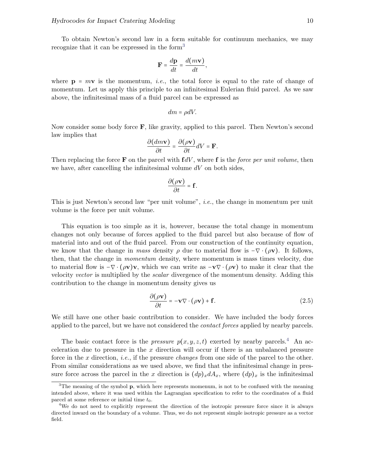To obtain Newton's second law in a form suitable for continuum mechanics, we may recognize that it can be expressed in the form<sup>[3](#page-10-0)</sup>

$$
\mathbf{F} = \frac{d\mathbf{p}}{dt} = \frac{d(m\mathbf{v})}{dt},
$$

where  $p = m\mathbf{v}$  is the momentum, *i.e.*, the total force is equal to the rate of change of momentum. Let us apply this principle to an infinitesimal Eulerian fluid parcel. As we saw above, the infinitesimal mass of a fluid parcel can be expressed as

$$
dm = \rho dV.
$$

Now consider some body force  $\bf{F}$ , like gravity, applied to this parcel. Then Newton's second law implies that

$$
\frac{\partial (dm\mathbf{v})}{\partial t} = \frac{\partial (\rho \mathbf{v})}{\partial t} dV = \mathbf{F}.
$$

Then replacing the force **F** on the parcel with  $fdV$ , where **f** is the *force per unit volume*, then we have, after cancelling the infinitesimal volume  $dV$  on both sides,

$$
\frac{\partial(\rho \mathbf{v})}{\partial t} = \mathbf{f}.
$$

This is just Newton's second law "per unit volume", i.e., the change in momentum per unit volume is the force per unit volume.

This equation is too simple as it is, however, because the total change in momentum changes not only because of forces applied to the fluid parcel but also because of flow of material into and out of the fluid parcel. From our construction of the continuity equation, we know that the change in mass density  $\rho$  due to material flow is  $-\nabla \cdot (\rho \mathbf{v})$ . It follows, then, that the change in momentum density, where momentum is mass times velocity, due to material flow is  $-\nabla \cdot (\rho \mathbf{v})\mathbf{v}$ , which we can write as  $-\nabla \cdot (\rho \mathbf{v})$  to make it clear that the velocity vector is multiplied by the scalar divergence of the momentum density. Adding this contribution to the change in momentum density gives us

<span id="page-10-2"></span>
$$
\frac{\partial(\rho \mathbf{v})}{\partial t} = -\mathbf{v} \nabla \cdot (\rho \mathbf{v}) + \mathbf{f}.
$$
 (2.5)

We still have one other basic contribution to consider. We have included the body forces applied to the parcel, but we have not considered the contact forces applied by nearby parcels.

The basic contact force is the *pressure*  $p(x, y, z, t)$  exerted by nearby parcels.<sup>[4](#page-10-1)</sup> An acceleration due to pressure in the x direction will occur if there is an unbalanced pressure force in the x direction, *i.e.*, if the pressure *changes* from one side of the parcel to the other. From similar considerations as we used above, we find that the infinitesimal change in pressure force across the parcel in the x direction is  $(dp)x dA_x$ , where  $(dp)_x$  is the infinitesimal

<span id="page-10-0"></span> $3$ The meaning of the symbol p, which here represents momenum, is not to be confused with the meaning intended above, where it was used within the Lagrangian specification to refer to the coordinates of a fluid parcel at some reference or initial time  $t_0$ .

<span id="page-10-1"></span><sup>&</sup>lt;sup>4</sup>We do not need to explicitly represent the direction of the isotropic pressure force since it is always directed inward on the boundary of a volume. Thus, we do not represent simple isotropic pressure as a vector field.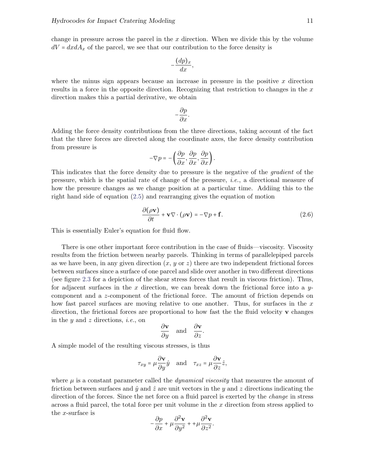change in pressure across the parcel in the  $x$  direction. When we divide this by the volume  $dV = dxdA_x$  of the parcel, we see that our contribution to the force density is

$$
-\frac{(dp)_x}{dx},
$$

where the minus sign appears because an increase in pressure in the positive  $x$  direction results in a force in the opposite direction. Recognizing that restriction to changes in the  $x$ direction makes this a partial derivative, we obtain

$$
-\frac{\partial p}{\partial x}.
$$

Adding the force density contributions from the three directions, taking account of the fact that the three forces are directed along the coordinate axes, the force density contribution from pressure is

$$
-\nabla p = -\left(\frac{\partial p}{\partial x}, \frac{\partial p}{\partial x}, \frac{\partial p}{\partial x}\right).
$$

This indicates that the force density due to pressure is the negative of the gradient of the pressure, which is the spatial rate of change of the pressure, i.e., a directional measure of how the pressure changes as we change position at a particular time. Addiing this to the right hand side of equation [\(2.5\)](#page-10-2) and rearranging gives the equation of motion

$$
\frac{\partial(\rho \mathbf{v})}{\partial t} + \mathbf{v} \nabla \cdot (\rho \mathbf{v}) = -\nabla p + \mathbf{f}.
$$
 (2.6)

This is essentially Euler's equation for fluid flow.

There is one other important force contribution in the case of fluids—viscosity. Viscosity results from the friction between nearby parcels. Thinking in terms of parallelepiped parcels as we have been, in any given direction  $(x, y \text{ or } z)$  there are two independent frictional forces between surfaces since a surface of one parcel and slide over another in two different directions (see figure [2.3](#page-12-0) for a depiction of the shear stress forces that result in viscous friction). Thus, for adjacent surfaces in the x direction, we can break down the frictional force into a  $y$ component and a z-component of the frictional force. The amount of friction depends on how fast parcel surfaces are moving relative to one another. Thus, for surfaces in the  $x$ direction, the frictional forces are proportional to how fast the the fluid velocity  $\bf{v}$  changes in the  $y$  and  $z$  directions, *i.e.*, on

$$
\frac{\partial \mathbf{v}}{\partial y}
$$
 and  $\frac{\partial \mathbf{v}}{\partial z}$ .

A simple model of the resulting viscous stresses, is thus

$$
\tau_{xy} = \mu \frac{\partial \mathbf{v}}{\partial y} \hat{y}
$$
 and  $\tau_{xz} = \mu \frac{\partial \mathbf{v}}{\partial z} \hat{z}$ ,

where  $\mu$  is a constant parameter called the *dynamical viscosity* that measures the amount of friction between surfaces and  $\hat{y}$  and  $\hat{z}$  are unit vectors in the y and z directions indicating the direction of the forces. Since the net force on a fluid parcel is exerted by the *change* in stress across a fluid parcel, the total force per unit volume in the  $x$  direction from stress applied to the x-surface is

$$
-\frac{\partial p}{\partial x} + \mu \frac{\partial^2 \mathbf{v}}{\partial y^2} + \mu \frac{\partial^2 \mathbf{v}}{\partial z^2}.
$$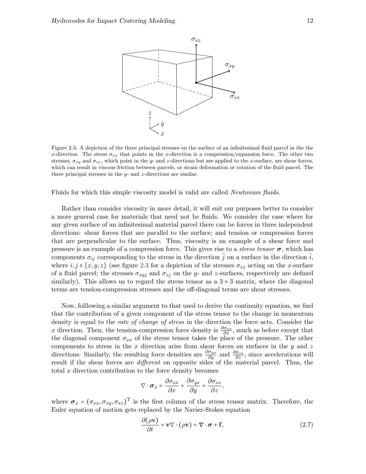<span id="page-12-0"></span>

Figure 2.3: A depiction of the three principal stresses on the surface of an infinitesimal fluid parcel in the the x-direction. The stress  $\sigma_{xx}$  that points in the x-direction is a compression/expansion force. The other two stresses,  $\sigma_{xy}$  and  $\sigma_{xz}$ , which point in the y- and z-directions but are applied to the x-surface, are shear forces, which can result in viscous friction between parcels, or strain deformation or rotation of the fluid parcel. The three principal stresses in the  $y$ - and  $z$ -directions are similar.

Fluids for which this simple viscosity model is valid are called Newtonian fluids.

Rather than consider viscosity in more detail, it will suit our purposes better to consider a more general case for materials that need not be fluids. We consider the case where for any given surface of an infinitesimal material parcel there can be forces in three independent directions: shear forces that are parallel to the surface; and tension or compression forces that are perpendicular to the surface. Thus, viscosity is an example of a shear force and pressure is an example of a compression force. This gives rise to a *stress tensor*  $\sigma$ , which has components  $\sigma_{ij}$  corresponding to the stress in the direction  $\hat{j}$  on a surface in the direction  $\hat{i}$ , where  $i, j \in \{x, y, z\}$  (see figure [2.3](#page-12-0) for a depiction of the stresses  $\sigma_{xj}$  acting on the x-surface of a fluid parcel; the stresses  $\sigma_{xyj}$  and  $\sigma_{zj}$  on the y- and z-surfaces, respectively are defined similarly). This allows us to regard the stress tensor as a  $3 \times 3$  matrix, where the diagonal terms are tension-compression stresses and the off-diagonal terms are shear stresses.

Now, folllowing a similar argument to that used to derive the continuity equation, we find that the contribution of a given component of the stress tensor to the change in momentum density is equal to the *rate of change of stress* in the direction the force acts. Consider the x direction. Then, the tension-compression force density is  $\frac{\partial \sigma_{xx}}{\partial x}$ , much as before except that the diagonal component  $\sigma_{xx}$  of the stress tensor takes the place of the pressure. The other components to stress in the  $x$  direction arise from shear forces on surfaces in the  $y$  and  $z$ directions. Similarly, the resulting force densities are  $\frac{\partial \sigma_{yx}}{\partial y}$  and  $\frac{\partial \sigma_{zx}}{\partial z}$ , since accelerations will result if the shear forces are *different* on opposite sides of the material parcel. Thus, the total  $x$  direction contribution to the force density becomes

$$
\nabla \cdot \boldsymbol{\sigma}_x = \frac{\partial \sigma_{xx}}{\partial x} + \frac{\partial \sigma_{yx}}{\partial y} + \frac{\partial \sigma_{zx}}{\partial z},
$$

where  $\sigma_x = (\sigma_{xx}, \sigma_{xy}, \sigma_{xz})^T$  is the first column of the stress tensor matrix. Therefore, the Euler equation of motion gets replaced by the Navier-Stokes equation

<span id="page-12-1"></span>
$$
\frac{\partial(\rho \mathbf{v})}{\partial t} + \mathbf{v} \nabla \cdot (\rho \mathbf{v}) = \nabla \cdot \boldsymbol{\sigma} + \mathbf{f},\tag{2.7}
$$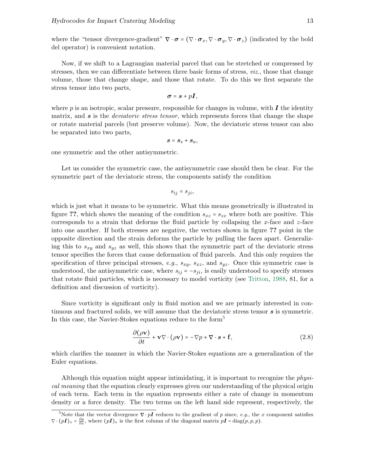where the "tensor divergence-gradient"  $\nabla \cdot \boldsymbol{\sigma} = (\nabla \cdot \boldsymbol{\sigma}_x, \nabla \cdot \boldsymbol{\sigma}_y, \nabla \cdot \boldsymbol{\sigma}_z)$  (indicated by the bold del operator) is convenient notation.

Now, if we shift to a Lagrangian material parcel that can be stretched or compressed by stresses, then we can differentiate between three basic forms of stress, *viz.*, those that change volume, those that change shape, and those that rotate. To do this we first separate the stress tensor into two parts,

$$
\boldsymbol{\sigma} = \boldsymbol{s} + p\boldsymbol{I},
$$

where  $p$  is an isotropic, scalar pressure, responsible for changes in volume, with  $\bm{I}$  the identity matrix, and  $s$  is the *deviatoric stress tensor*, which represents forces that change the shape or rotate material parcels (but preserve volume). Now, the deviatoric stress tensor can also be separated into two parts,

$$
s=s_s+s_a,
$$

one symmetric and the other antisymmetric.

Let us consider the symmetric case, the antisymmetric case should then be clear. For the symmetric part of the deviatoric stress, the components satisfy the condition

$$
s_{ij}=s_{ji},
$$

which is just what it means to be symmetric. What this means geometrically is illustrated in figure ??, which shows the meaning of the condition  $s_{xz} = s_{zx}$  where both are positive. This corresponds to a strain that deforms the fluid particle by collapsing the x-face and  $z$ -face into one another. If both stresses are negative, the vectors shown in figure ?? point in the opposite direction and the strain deforms the particle by pulling the faces apart. Generalizing this to  $s_{xy}$  and  $s_{yz}$  as well, this shows that the symmetric part of the deviatoric stress tensor specifies the forces that cause deformation of fluid parcels. And this only requires the specification of three principal stresses, e.g.,  $s_{xy}$ ,  $s_{xz}$ , and  $s_{yz}$ . Once this symmetric case is understood, the antisymmetric case, where  $s_{ij} = -s_{ji}$ , is easily understood to specify stresses that rotate fluid particles, which is necessary to model vorticity (see [Tritton,](#page-37-1) [1988,](#page-37-1) 81, for a definition and discussion of vorticity).

Since vorticity is significant only in fluid motion and we are primarly interested in continuous and fractured solids, we will assume that the deviatoric stress tensor  $s$  is symmetric. In this case, the Navier-Stokes equations reduce to the form<sup>[5](#page-13-0)</sup>

<span id="page-13-1"></span>
$$
\frac{\partial(\rho \mathbf{v})}{\partial t} + \mathbf{v} \nabla \cdot (\rho \mathbf{v}) = -\nabla p + \nabla \cdot \mathbf{s} + \mathbf{f},\tag{2.8}
$$

which clarifies the manner in which the Navier-Stokes equations are a generalization of the Euler equations.

Although this equation might appear intimidating, it is important to recognize the physical meaning that the equation clearly expresses given our understanding of the physical origin of each term. Each term in the equation represents either a rate of change in momentum density or a force density. The two terms on the left hand side represent, respectively, the

<span id="page-13-0"></span><sup>&</sup>lt;sup>5</sup>Note that the vector divergence  $\nabla \cdot pI$  reduces to the gradient of p since, e.g., the x component satisfies  $\nabla \cdot (p\mathbf{I})_x = \frac{\partial p}{\partial x}$ , where  $(p\mathbf{I})_x$  is the first column of the diagonal matrix  $p\mathbf{I} = \text{diag}(p, p, p)$ .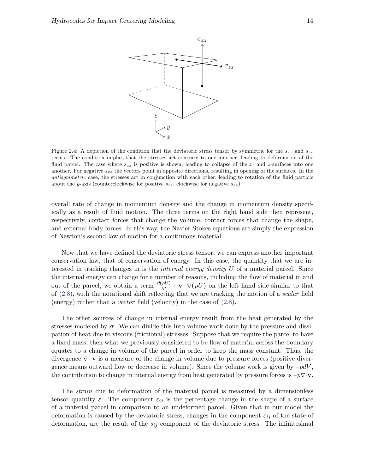

Figure 2.4: A depiction of the condition that the deviatoric stress tensor by symmetric for the  $s_{xz}$  and  $s_{zx}$ terms. The condition implies that the stresses act contrary to one another, leading to deformation of the fluid parcel. The case where  $s_{xz}$  is positive is shown, leading to collapse of the x- and z-surfaces into one another. For negative  $s_{xz}$  the vectors point in opposite directions, resulting in opening of the surfaces. In the antisymmetric case, the stresses act in conjunction with each other, leading to rotation of the fluid particle about the y-axis (counterclockwise for positive  $s_{xz}$ , clockwise for negative  $s_{xz}$ ).

overall rate of change in momentum density and the change in momentum density specifically as a result of fluid motion. The three terms on the right hand side then represent, respectively, contact forces that change the volume, contact forces that change the shape, and external body forces. In this way, the Navier-Stokes equations are simply the expression of Newton's second law of motion for a continuous material.

Now that we have defined the deviatoric stress tensor, we can express another important conservation law, that of conservation of energy. In this case, the quantity that we are interested in tracking changes in is the internal energy density U of a material parcel. Since the internal energy can change for a number of reasons, including the flow of material in and out of the parcel, we obtain a term  $\frac{\partial(\rho U)}{\partial t} + \mathbf{v} \cdot \nabla(\rho U)$  on the left hand side similar to that of  $(2.8)$ , with the notational shift reflecting that we are tracking the motion of a *scalar* field (energy) rather than a vector field (velocity) in the case of [\(2.8\)](#page-13-1).

The other sources of change in internal energy result from the heat generated by the stresses modeled by  $\sigma$ . We can divide this into volume work done by the pressure and dissipation of heat due to viscous (frictional) stresses. Suppose that we require the parcel to have a fixed mass, then what we previously considered to be flow of material across the boundary equates to a change in volume of the parcel in order to keep the mass constant. Thus, the divergence  $\nabla \cdot \mathbf{v}$  is a measure of the change in volume due to pressure forces (positive divergence means outward flow or decrease in volume). Since the volume work is given by  $-pdV$ , the contribution to change in internal energy from heat generated by pressure forces is  $-p\nabla \cdot \mathbf{v}$ .

The strain due to deformation of the material parcel is measured by a dimensionless tensor quantity  $\varepsilon$ . The component  $\varepsilon_{ij}$  is the percentage change in the shape of a surface of a material parcel in comparison to an undeformed parcel. Given that in our model the deformation is caused by the deviatoric stress, changes in the component  $\varepsilon_{ij}$  of the state of deformation, are the result of the  $s_{ij}$  component of the deviatoric stress. The infinitesimal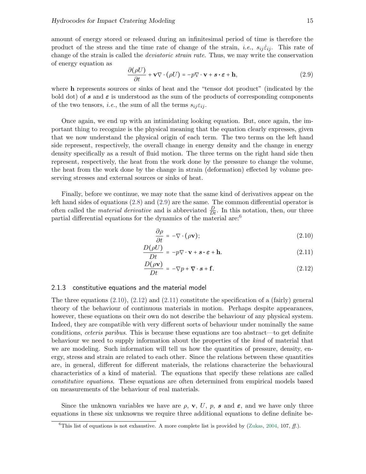amount of energy stored or released during an infinitesimal period of time is therefore the product of the stress and the time rate of change of the strain, *i.e.*,  $s_{ij}\dot{\varepsilon}_{ij}$ . This rate of change of the strain is called the deviatoric strain rate. Thus, we may write the conservation of energy equation as

<span id="page-15-1"></span>
$$
\frac{\partial(\rho U)}{\partial t} + \mathbf{v} \nabla \cdot (\rho U) = -p \nabla \cdot \mathbf{v} + \mathbf{s} \cdot \boldsymbol{\varepsilon} + \mathbf{h},\tag{2.9}
$$

where h represents sources or sinks of heat and the "tensor dot product" (indicated by the bold dot) of s and  $\varepsilon$  is understood as the sum of the products of corresponding components of the two tensors, *i.e.*, the sum of all the terms  $s_{ij} \varepsilon_{ij}$ .

Once again, we end up with an intimidating looking equation. But, once again, the important thing to recognize is the physical meaning that the equation clearly expresses, given that we now understand the physical origin of each term. The two terms on the left hand side represent, respectively, the overall change in energy density and the change in energy density specifically as a result of fluid motion. The three terms on the right hand side then represent, respectively, the heat from the work done by the pressure to change the volume, the heat from the work done by the change in strain (deformation) effected by volume preserving stresses and external sources or sinks of heat.

Finally, before we continue, we may note that the same kind of derivatives appear on the left hand sides of equations [\(2.8\)](#page-13-1) and [\(2.9\)](#page-15-1) are the same. The common differential operator is often called the *material derivative* and is abbreviated  $\frac{D}{Dt}$ . In this notation, then, our three partial differential equations for the dynamics of the material are:<sup>[6](#page-15-2)</sup>

<span id="page-15-3"></span>
$$
\frac{\partial \rho}{\partial t} = -\nabla \cdot (\rho \mathbf{v});\tag{2.10}
$$

$$
\frac{D(\rho U)}{Dt} = -p\nabla \cdot \mathbf{v} + \mathbf{s} \cdot \boldsymbol{\varepsilon} + \mathbf{h}.\tag{2.11}
$$

$$
\frac{D(\rho \mathbf{v})}{Dt} = -\nabla p + \nabla \cdot \mathbf{s} + \mathbf{f}.
$$
 (2.12)

### <span id="page-15-0"></span>2.1.3 constitutive equations and the material model

The three equations  $(2.10)$ ,  $(2.12)$  and  $(2.11)$  constitute the specification of a (fairly) general theory of the behaviour of continuous materials in motion. Perhaps despite appearances, however, these equations on their own do not describe the behaviour of any physical system. Indeed, they are compatible with very different sorts of behaviour under nominally the same conditions, ceteris paribus. This is because these equations are too abstract—to get definite behaviour we need to supply information about the properties of the kind of material that we are modeling. Such information will tell us how the quantities of pressure, density, energy, stress and strain are related to each other. Since the relations between these quantities are, in general, different for different materials, the relations characterize the behavioural characteristics of a kind of material. The equations that specify these relations are called constitutive equations. These equations are often determined from empirical models based on measurements of the behaviour of real materials.

Since the unknown variables we have are  $\rho$ , **v**, U, p, s and  $\varepsilon$ , and we have only three equations in these six unknowns we require three additional equations to define definite be-

<span id="page-15-2"></span><sup>&</sup>lt;sup>6</sup>This list of equations is not exhaustive. A more complete list is provided by [\(Zukas,](#page-37-0) [2004,](#page-37-0) 107, ff.).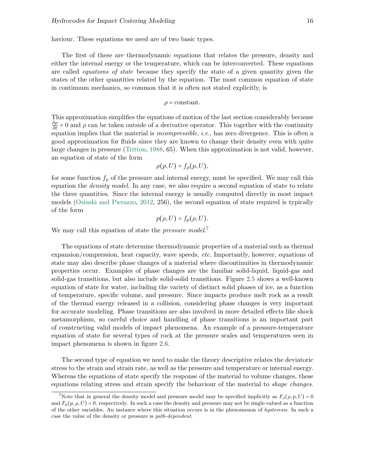haviour. These equations we need are of two basic types.

The first of these are thermodynamic equations that relates the pressure, density and either the internal energy or the temperature, which can be interconverted. These equations are called equations of state because they specify the state of a given quantity given the states of the other quantities related by the equation. The most common equation of state in continuum mechanics, so common that it is often not stated explicitly, is

$$
\rho = \mathrm{constant}.
$$

This approximation simplifies the equations of motion of the last section considerably because  $\frac{\partial \rho}{\partial t} = 0$  and  $\rho$  can be taken outside of a derivative operator. This together with the continuity equation implies that the material is *incompressible*, *i.e.*, has zero divergence. This is often a good approximation for fluids since they are known to change their density even with quite large changes in pressure [\(Tritton,](#page-37-1) [1988,](#page-37-1) 65). When this approximation is not valid, however, an equation of state of the form

$$
\rho(p,U)=f_{\rho}(p,U),
$$

for some function  $f_\rho$  of the pressure and internal energy, must be specified. We may call this equation the density model. In any case, we also require a second equation of state to relate the three quantities. Since the internal energy is usually computed directly in most impact models [\(Osinski and Pierazzo,](#page-36-1) [2012,](#page-36-1) 256), the second equation of state required is typically of the form

$$
p(\rho, U) = f_p(\rho, U).
$$

We may call this equation of state the *pressure model.*<sup>[7](#page-16-0)</sup>

The equations of state determine thermodynamic properties of a material such as thermal expansion/compression, heat capacity, wave speeds, etc. Importantly, however, equations of state may also describe phase changes of a material where discontinuities in thermodynamic properties occur. Examples of phase changes are the familiar solid-liquid, liquid-gas and solid-gas transitions, but also include solid-solid transitions. Figure [2.5](#page-17-0) shows a well-known equation of state for water, including the variety of distinct solid phases of ice, as a function of temperature, specific volume, and pressure. Since impacts produce melt rock as a result of the thermal energy released in a collision, considering phase changes is very important for accurate modeling. Phase transitions are also involved in more detailed effects like shock metamorphism, so careful choice and handling of phase transitions is an important part of constructing valid models of impact phenomena. An example of a pressure-temperature equation of state for several types of rock at the pressure scales and temperatures seen in impact phenomena is shown in figure [2.6.](#page-17-1)

The second type of equation we need to make the theory descriptive relates the deviatoric stress to the strain and strain rate, as well as the pressure and temperature or internal energy. Whereas the equations of state specify the response of the material to volume changes, these equations relating stress and strain specify the behaviour of the material to shape changes.

<span id="page-16-0"></span><sup>&</sup>lt;sup>7</sup>Note that in general the density model and pressure model may be specified implicitly as  $F_{\rho}(\rho, p, U) = 0$ and  $F_p(p, \rho, U) = 0$ , respectively. In such a case the density and pressure may not be single-valued as a function of the other variables. An instance where this situation occurs is in the phenomenon of hysteresis. In such a case the value of the density or pressure is path-dependent.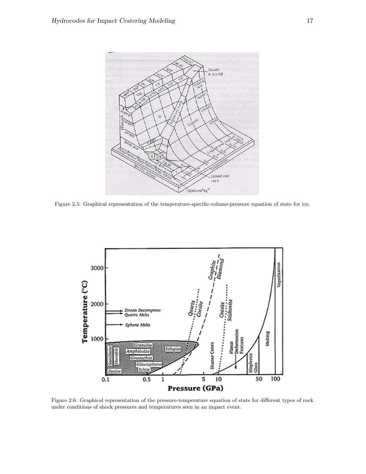<span id="page-17-0"></span>

Figure 2.5: Graphical representation of the temperature-specific-volume-pressure equation of state for ice.

<span id="page-17-1"></span>

Figure 2.6: Graphical representation of the pressure-temperature equation of state for different types of rock under conditions of shock pressures and temperatures seen in an impact event.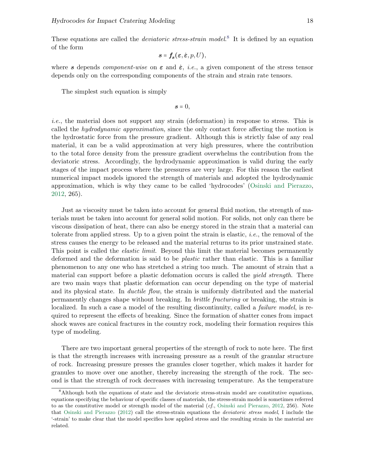These equations are called the *deviatoric stress-strain model*.<sup>[8](#page-18-0)</sup> It is defined by an equation of the form

$$
\boldsymbol{s} = \boldsymbol{f}_{\boldsymbol{s}}(\boldsymbol{\varepsilon}, \dot{\boldsymbol{\varepsilon}}, p, U),
$$

where s depends *component-wise* on  $\varepsilon$  and  $\dot{\varepsilon}$ , *i.e.*, a given component of the stress tensor depends only on the corresponding components of the strain and strain rate tensors.

The simplest such equation is simply

$$
\boldsymbol{s}=0,
$$

i.e., the material does not support any strain (deformation) in response to stress. This is called the hydrodynamic approximation, since the only contact force affecting the motion is the hydrostatic force from the pressure gradient. Although this is strictly false of any real material, it can be a valid approximation at very high pressures, where the contribution to the total force density from the pressure gradient overwhelms the contribution from the deviatoric stress. Accordingly, the hydrodynamic approximation is valid during the early stages of the impact process where the pressures are very large. For this reason the earliest numerical impact models ignored the strength of materials and adopted the hydrodynamic approximation, which is why they came to be called 'hydrocodes' [\(Osinski and Pierazzo,](#page-36-1) [2012,](#page-36-1) 265).

Just as viscosity must be taken into account for general fluid motion, the strength of materials must be taken into account for general solid motion. For solids, not only can there be viscous dissipation of heat, there can also be energy stored in the strain that a material can tolerate from applied stress. Up to a given point the strain is elastic, i.e., the removal of the stress causes the energy to be released and the material returns to its prior unstrained state. This point is called the *elastic limit*. Beyond this limit the material becomes permanently deformed and the deformation is said to be plastic rather than elastic. This is a familiar phenomenon to any one who has stretched a string too much. The amount of strain that a material can support before a plastic defomation occurs is called the *yield strength*. There are two main ways that plastic deformation can occur depending on the type of material and its physical state. In *ductile flow*, the strain is uniformly distributed and the material permanently changes shape without breaking. In brittle fracturing or breaking, the strain is localized. In such a case a model of the resulting discontinuity, called a *failure model*, is required to represent the effects of breaking. Since the formation of shatter cones from impact shock waves are conical fractures in the country rock, modeling their formation requires this type of modeling.

There are two important general properties of the strength of rock to note here. The first is that the strength increases with increasing pressure as a result of the granular structure of rock. Increasing pressure presses the granules closer together, which makes it harder for granules to move over one another, thereby increasing the strength of the rock. The second is that the strength of rock decreases with increasing temperature. As the temperature

<span id="page-18-0"></span><sup>8</sup>Although both the equations of state and the deviatoric stress-strain model are constitutive equations, equations specifying the behaviour of specific classes of materials, the stress-strain model is sometimes referred to as the constitutive model or strength model of the material (cf., [Osinski and Pierazzo,](#page-36-1) [2012,](#page-36-1) 256). Note that [Osinski and Pierazzo](#page-36-1) [\(2012\)](#page-36-1) call the stress-strain equations the deviatoric stress model, I include the '-strain' to make clear that the model specifies how applied stress and the resulting strain in the material are related.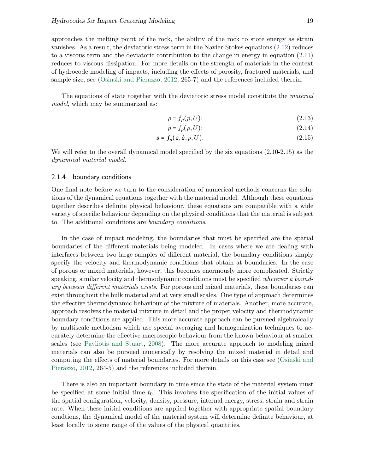approaches the melting point of the rock, the ability of the rock to store energy as strain vanishes. As a result, the deviatoric stress term in the Navier-Stokes equations [\(2.12\)](#page-15-3) reduces to a viscous term and the deviatoric contribution to the change in energy in equation [\(2.11\)](#page-15-3) reduces to viscous dissipation. For more details on the strength of materials in the context of hydrocode modeling of impacts, including the effects of porosity, fractured materials, and sample size, see [\(Osinski and Pierazzo,](#page-36-1) [2012,](#page-36-1) 265-7) and the references included therein.

The equations of state together with the deviatoric stress model constitute the *material* model, which may be summarized as:

$$
\rho = f_{\rho}(p, U); \tag{2.13}
$$

$$
p = f_p(\rho, U); \tag{2.14}
$$

$$
s = f_s(\varepsilon, \dot{\varepsilon}, p, U). \tag{2.15}
$$

We will refer to the overall dynamical model specified by the six equations  $(2.10-2.15)$  as the dynamical material model.

### <span id="page-19-0"></span>2.1.4 boundary conditions

One final note before we turn to the consideration of numerical methods concerns the solutions of the dynamical equations together with the material model. Although these equations together describes definite physical behaviour, these equations are compatible with a wide variety of specific behaviour depending on the physical conditions that the material is subject to. The additional conditions are boundary conditions.

In the case of impact modeling, the boundaries that must be specified are the spatial boundaries of the different materials being modeled. In cases where we are dealing with interfaces between two large samples of different material, the boundary conditions simply specify the velocity and thermodynamic conditions that obtain at boundaries. In the case of porous or mixed materials, however, this becomes enormously more complicated. Strictly speaking, similar velocity and thermodynamic conditions must be specified *wherever a bound*ary between different materials exists. For porous and mixed materials, these boundaries can exist throughout the bulk material and at very small scales. One type of approach determines the effective thermodynamic behaviour of the mixture of materials. Another, more accurate, approach resolves the material mixture in detail and the proper velocity and thermodynamic boundary conditions are applied. This more accurate approach can be pursued algebraically by multiscale methodsm which use special averaging and homogenization techniques to accurately determine the effective macroscopic behaviour from the known behaviour at smaller scales (see [Pavliotis and Stuart,](#page-36-2) [2008\)](#page-36-2). The more accurate approach to modeling mixed materials can also be pursued numerically by resolving the mixed material in detail and computing the effects of material boundaries. For more details on this case see [\(Osinski and](#page-36-1) [Pierazzo,](#page-36-1) [2012,](#page-36-1) 264-5) and the references included therein.

There is also an important boundary in time since the state of the material system must be specified at some initial time  $t_0$ . This involves the specification of the initial values of the spatial configuration, velocity, density, pressure, internal energy, stress, strain and strain rate. When these initial conditions are applied together with appropriate spatial boundary condtions, the dynamical model of the material system will determine definite behaviour, at least locally to some range of the values of the physical quantities.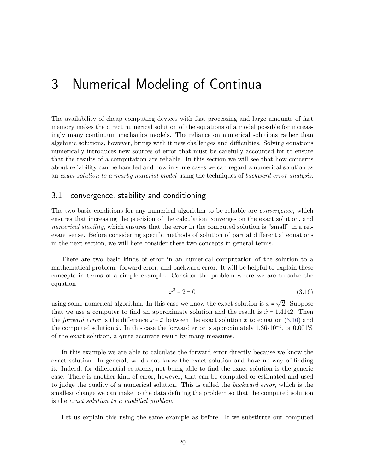## <span id="page-20-0"></span>3 Numerical Modeling of Continua

The availability of cheap computing devices with fast processing and large amounts of fast memory makes the direct numerical solution of the equations of a model possible for increasingly many continuum mechanics models. The reliance on numerical solutions rather than algebraic solutions, however, brings with it new challenges and difficulties. Solving equations numerically introduces new sources of error that must be carefully accounted for to ensure that the results of a computation are reliable. In this section we will see that how concerns about reliability can be handled and how in some cases we can regard a numerical solution as an exact solution to a nearby material model using the techniques of backward error analysis.

## <span id="page-20-1"></span>3.1 convergence, stability and conditioning

The two basic conditions for any numerical algorithm to be reliable are *convergence*, which ensures that increasing the precision of the calculation converges on the exact solution, and numerical stability, which ensures that the error in the computed solution is "small" in a relevant sense. Before considering specific methods of solution of partial differential equations in the next section, we will here consider these two concepts in general terms.

There are two basic kinds of error in an numerical computation of the solution to a mathematical problem: forward error; and backward error. It will be helpful to explain these concepts in terms of a simple example. Consider the problem where we are to solve the equation

<span id="page-20-2"></span>
$$
x^2 - 2 = 0 \tag{3.16}
$$

using some numerical algorithm. In this case we know the exact solution is  $x =$ √ 2. Suppose that we use a computer to find an approximate solution and the result is  $\hat{x} = 1.4142$ . Then the forward error is the difference  $x - \hat{x}$  between the exact solution x to equation [\(3.16\)](#page-20-2) and the computed solution  $\hat{x}$ . In this case the forward error is approximately 1.36⋅10<sup>-5</sup>, or 0.001% of the exact solution, a quite accurate result by many measures.

In this example we are able to calculate the forward error directly because we know the exact solution. In general, we do not know the exact solution and have no way of finding it. Indeed, for differential equtions, not being able to find the exact solution is the generic case. There is another kind of error, however, that can be computed or estimated and used to judge the quality of a numerical solution. This is called the *backward error*, which is the smallest change we can make to the data defining the problem so that the computed solution is the exact solution to a modified problem.

Let us explain this using the same example as before. If we substitute our computed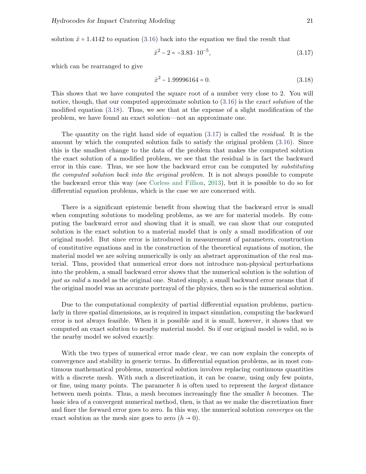solution  $\hat{x} = 1.4142$  to equation [\(3.16\)](#page-20-2) back into the equation we find the result that

<span id="page-21-1"></span>
$$
\hat{x}^2 - 2 = -3.83 \cdot 10^{-5},\tag{3.17}
$$

which can be rearranged to give

<span id="page-21-0"></span>
$$
\hat{x}^2 - 1.99996164 = 0.\tag{3.18}
$$

This shows that we have computed the square root of a number very close to 2. You will notice, though, that our computed approximate solution to  $(3.16)$  is the *exact solution* of the modified equation [\(3.18\)](#page-21-0). Thus, we see that at the expense of a slight modification of the problem, we have found an exact solution—not an approximate one.

The quantity on the right hand side of equation [\(3.17\)](#page-21-1) is called the residual. It is the amount by which the computed solution fails to satisfy the original problem [\(3.16\)](#page-20-2). Since this is the smallest change to the data of the problem that makes the computed solution the exact solution of a modified problem, we see that the residual is in fact the backward error in this case. Thus, we see how the backward error can be computed by *substituting* the computed solution back into the original problem. It is not always possible to compute the backward error this way (see [Corless and Fillion,](#page-36-3) [2013\)](#page-36-3), but it is possible to do so for differential equation problems, which is the case we are concerned with.

There is a significant epistemic benefit from showing that the backward error is small when computing solutions to modeling problems, as we are for material models. By computing the backward error and showing that it is small, we can show that our computed solution is the exact solution to a material model that is only a small modification of our original model. But since error is introduced in measurement of parameters, construction of constitutive equations and in the construction of the theoretical equations of motion, the material model we are solving numerically is only an abstract approximation of the real material. Thus, provided that numerical error does not introduce non-physical perturbations into the problem, a small backward error shows that the numerical solution is the solution of just as valid a model as the original one. Stated simply, a small backward error means that if the original model was an accurate portrayal of the physics, then so is the numerical solution.

Due to the computational complexity of partial differential equation problems, particularly in three spatial dimensions, as is required in impact simulation, computing the backward error is not always feasible. When it is possible and it is small, however, it shows that we computed an exact solution to nearby material model. So if our original model is valid, so is the nearby model we solved exactly.

With the two types of numerical error made clear, we can now explain the concepts of convergence and stability in generic terms. In differential equation problems, as in most continuous mathematical problems, numerical solution involves replacing continuous quantities with a discrete mesh. With such a discretization, it can be coarse, using only few points, or fine, using many points. The parameter  $h$  is often used to represent the *largest* distance between mesh points. Thus, a mesh becomes increasingly fine the smaller h becomes. The basic idea of a convergent numerical method, then, is that as we make the discretization finer and finer the forward error goes to zero. In this way, the numerical solution *converges* on the exact solution as the mesh size goes to zero  $(h \rightarrow 0)$ .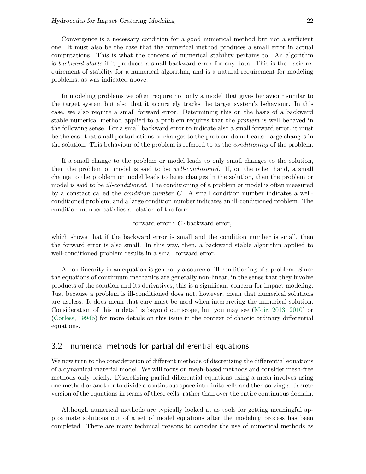Convergence is a necessary condition for a good numerical method but not a sufficient one. It must also be the case that the numerical method produces a small error in actual computations. This is what the concept of numerical stability pertains to. An algorithm is backward stable if it produces a small backward error for any data. This is the basic requirement of stability for a numerical algorithm, and is a natural requirement for modeling problems, as was indicated above.

In modeling problems we often require not only a model that gives behaviour similar to the target system but also that it accurately tracks the target system's behaviour. In this case, we also require a small forward error. Determining this on the basis of a backward stable numerical method applied to a problem requires that the problem is well behaved in the following sense. For a small backward error to indicate also a small forward error, it must be the case that small perturbations or changes to the problem do not cause large changes in the solution. This behaviour of the problem is referred to as the *conditioning* of the problem.

If a small change to the problem or model leads to only small changes to the solution, then the problem or model is said to be well-conditioned. If, on the other hand, a small change to the problem or model leads to large changes in the solution, then the problem or model is said to be *ill-conditioned*. The conditioning of a problem or model is often measured by a constact called the condition number C. A small condition number indicates a wellconditioned problem, and a large condition number indicates an ill-conditioned problem. The condition number satisfies a relation of the form

forward error  $\leq C \cdot$  backward error,

which shows that if the backward error is small and the condition number is small, then the forward error is also small. In this way, then, a backward stable algorithm applied to well-conditioned problem results in a small forward error.

A non-linearity in an equation is generally a source of ill-conditioning of a problem. Since the equations of continuum mechanics are generally non-linear, in the sense that they involve products of the solution and its derivatives, this is a significant concern for impact modeling. Just because a problem is ill-conditioned does not, however, mean that numerical solutions are useless. It does mean that care must be used when interpreting the numerical solution. Consideration of this in detail is beyond our scope, but you may see [\(Moir,](#page-36-4) [2013,](#page-36-4) [2010\)](#page-36-5) or [\(Corless,](#page-36-6) [1994b\)](#page-36-6) for more details on this issue in the context of chaotic ordinary differential equations.

## <span id="page-22-0"></span>3.2 numerical methods for partial differential equations

We now turn to the consideration of different methods of discretizing the differential equations of a dynamical material model. We will focus on mesh-based methods and consider mesh-free methods only briefly. Discretizing partial differential equations using a mesh involves using one method or another to divide a continuous space into finite cells and then solving a discrete version of the equations in terms of these cells, rather than over the entire continuous domain.

Although numerical methods are typically looked at as tools for getting meaningful approximate solutions out of a set of model equations after the modeling process has been completed. There are many technical reasons to consider the use of numerical methods as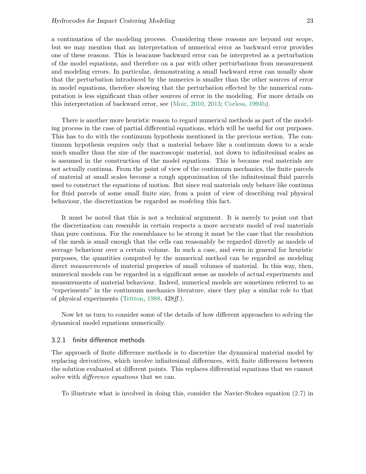a continuation of the modeling process. Considering these reasons are beyond our scope, but we may mention that an interpretation of numerical error as backward error provides one of these reasons. This is beacause backward error can be interpreted as a perturbation of the model equations, and therefore on a par with other perturbations from measurement and modeling errors. In particular, demonstrating a small backward error can usually show that the perturbation introduced by the numerics is smaller than the other sources of error in model equations, therefore showing that the perturbation effected by the numerical computation is less significant than other sources of error in the modeling. For more details on this interpretation of backward error, see [\(Moir,](#page-36-5) [2010,](#page-36-5) [2013;](#page-36-4) [Corless,](#page-36-6) [1994b\)](#page-36-6).

There is another more heuristic reason to regard numerical methods as part of the modeling process in the case of partial differential equations, which will be useful for our purposes. This has to do with the continuum hypothesis mentioned in the previous section. The continuum hypothesis requires only that a material behave like a continuum down to a scale much smaller than the size of the macroscopic material, not down to infinitesimal scales as is assumed in the construction of the model equations. This is because real materials are not actually continua. From the point of view of the continuum mechanics, the finite parcels of material at small scales become a rough approximation of the infinitesimal fluid parcels used to construct the equations of motion. But since real materials only behave like continua for fluid parcels of some small finite size, from a point of view of describing real physical behaviour, the discretization be regarded as modeling this fact.

It must be noted that this is not a technical argument. It is merely to point out that the discretization can resemble in certain respects a more accurate model of real materials than pure contiuua. For the resemblance to be strong it must be the case that the resolution of the mesh is small enough that the cells can reasonably be regarded directly as models of average behaviour over a certain volume. In such a case, and even in general for heuristic purposes, the quantities computed by the numerical method can be regarded as modeling direct *measurements* of material properies of small volumes of material. In this way, then, numerical models can be regarded in a significant sense as models of actual experiments and measurements of material behaviour. Indeed, numerical models are sometimes referred to as "experiments" in the continuum mechanics literature, since they play a similar role to that of physical experiments [\(Tritton,](#page-37-1) [1988,](#page-37-1) 428ff.).

Now let us turn to consider some of the details of how different approaches to solving the dynamical model equations numerically.

### <span id="page-23-0"></span>3.2.1 finite difference methods

The approach of finite difference methods is to discretize the dynamical material model by replacing derivatives, which involve infinitesimal differences, with finite differences between the solution evaluated at different points. This replaces differential equations that we cannot solve with *difference equations* that we can.

To illustrate what is involved in doing this, consider the Navier-Stokes equation [\(2.7\)](#page-12-1) in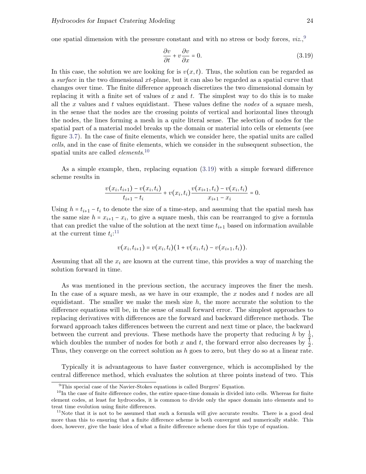one spatial dimension with the pressure constant and with no stress or body forces,  $viz$ ,

<span id="page-24-2"></span>
$$
\frac{\partial v}{\partial t} + v \frac{\partial v}{\partial x} = 0.
$$
\n(3.19)

In this case, the solution we are looking for is  $v(x, t)$ . Thus, the solution can be regarded as a surface in the two dimensional  $xt$ -plane, but it can also be regarded as a spatial curve that changes over time. The finite difference approach discretizes the two dimensional domain by replacing it with a finite set of values of x and t. The simplest way to do this is to make all the x values and t values equidistant. These values define the *nodes* of a square mesh, in the sense that the nodes are the crossing points of vertical and horizontal lines through the nodes, the lines forming a mesh in a quite literal sense. The selection of nodes for the spatial part of a material model breaks up the domain or material into cells or elements (see figure [3.7\)](#page-25-0). In the case of finite elements, which we consider here, the spatial units are called cells, and in the case of finite elements, which we consider in the subsequent subsection, the spatial units are called *elements*.<sup>[10](#page-24-1)</sup>

As a simple example, then, replacing equation [\(3.19\)](#page-24-2) with a simple forward difference scheme results in

$$
\frac{v(x_i,t_{i+1})-v(x_i,t_i)}{t_{i+1}-t_i}+v(x_i,t_i)\frac{v(x_{i+1},t_i)-v(x_i,t_i)}{x_{i+1}-x_i}=0.
$$

Using  $h = t_{i+1} - t_i$  to denote the size of a time-step, and assuming that the spatial mesh has the same size  $h = x_{i+1} - x_i$ , to give a square mesh, this can be rearranged to give a formula that can predict the value of the solution at the next time  $t_{i+1}$  based on information available at the current time  $t_i$ :<sup>[11](#page-24-3)</sup>

$$
v(x_i,t_{i+1}) = v(x_i,t_i)(1+v(x_i,t_i)-v(x_{i+1},t_i)).
$$

Assuming that all the  $x_i$  are known at the current time, this provides a way of marching the solution forward in time.

As was mentioned in the previous section, the accuracy improves the finer the mesh. In the case of a square mesh, as we have in our example, the  $x$  nodes and  $t$  nodes are all equidistant. The smaller we make the mesh size  $h$ , the more accurate the solution to the difference equations will be, in the sense of small forward error. The simplest approaches to replacing derivatives with differences are the forward and backward difference methods. The forward approach takes differences between the current and next time or place, the backward between the current and previous. These methods have the property that reducing h by  $\frac{1}{2}$ , which doubles the number of nodes for both x and t, the forward error also decreases by  $\frac{1}{2}$ . Thus, they converge on the correct solution as h goes to zero, but they do so at a linear rate.

Typically it is advantageous to have faster convergence, which is accomplished by the central difference method, which evaluates the solution at three points instead of two. This

<span id="page-24-1"></span><span id="page-24-0"></span><sup>&</sup>lt;sup>9</sup>This special case of the Navier-Stokes equations is called Burgers' Equation.

 $10$ In the case of finite difference codes, the entire space-time domain is divided into cells. Whereas for finite element codes, at least for hydrocodes, it is common to divide only the space domain into elements and to treat time evolution using finite differences.

<span id="page-24-3"></span> $11$ Note that it is not to be assumed that such a formula will give accurate results. There is a good deal more than this to ensuring that a finite difference scheme is both convergent and numerically stable. This does, however, give the basic idea of what a finite difference scheme does for this type of equation.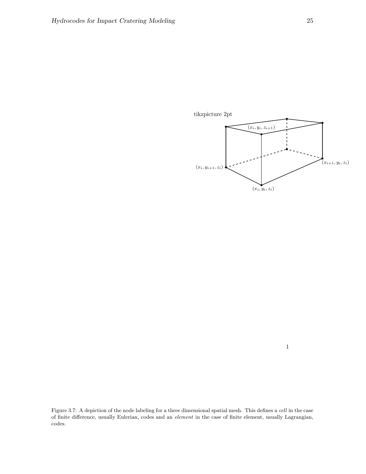<span id="page-25-0"></span>

1

Figure 3.7: A depiction of the node labeling for a three dimensional spatial mesh. This defines a cell in the case of finite difference, usually Eulerian, codes and an element in the case of finite element, usually Lagrangian, codes.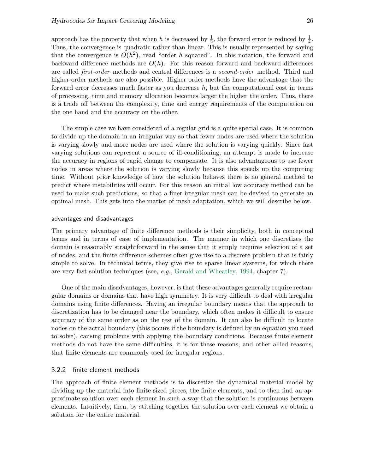approach has the property that when h is decreased by  $\frac{1}{2}$ , the forward error is reduced by  $\frac{1}{4}$ . Thus, the convergence is quadratic rather than linear. This is usually represented by saying that the convergence is  $O(h^2)$ , read "order h squared". In this notation, the forward and backward difference methods are  $O(h)$ . For this reason forward and backward differences are called first-order methods and central differences is a second-order method. Third and higher-order methods are also possible. Higher order methods have the advantage that the forward error decreases much faster as you decrease  $h$ , but the computational cost in terms of processing, time and memory allocation becomes larger the higher the order. Thus, there is a trade off between the complexity, time and energy requirements of the computation on the one hand and the accuracy on the other.

The simple case we have considered of a regular grid is a quite special case. It is common to divide up the domain in an irregular way so that fewer nodes are used where the solution is varying slowly and more nodes are used where the solution is varying quickly. Since fast varying solutions can represent a source of ill-conditioning, an attempt is made to increase the accuracy in regions of rapid change to compensate. It is also advantageous to use fewer nodes in areas where the solution is varying slowly because this speeds up the computing time. Without prior knowledge of how the solution behaves there is no general method to predict where instabilities will occur. For this reason an initial low accuracy method can be used to make such predictions, so that a finer irregular mesh can be devised to generate an optimal mesh. This gets into the matter of mesh adaptation, which we will describe below.

### advantages and disadvantages

The primary advantage of finite difference methods is their simplicity, both in conceptual terms and in terms of ease of implementation. The manner in which one discretizes the domain is reasonably straightforward in the sense that it simply requires selection of a set of nodes, and the finite difference schemes often give rise to a discrete problem that is fairly simple to solve. In technical terms, they give rise to sparse linear systems, for which there are very fast solution techniques (see, e.g., [Gerald and Wheatley,](#page-36-7) [1994,](#page-36-7) chapter 7).

One of the main disadvantages, however, is that these advantages generally require rectangular domains or domains that have high symmetry. It is very difficult to deal with irregular domains using finite differences. Having an irregular boundary means that the approach to discretization has to be changed near the boundary, which often makes it difficult to ensure accuracy of the same order as on the rest of the domain. It can also be difficult to locate nodes on the actual boundary (this occurs if the boundary is defined by an equation you need to solve), causing problems with applying the boundary conditions. Because finite element methods do not have the same difficulties, it is for these reasons, and other allied reasons, that finite elements are commonly used for irregular regions.

### <span id="page-26-0"></span>3.2.2 finite element methods

The approach of finite element methods is to discretize the dynamical material model by dividing up the material into finite sized pieces, the finite elements, and to then find an approximate solution over each element in such a way that the solution is continuous between elements. Intuitively, then, by stitching together the solution over each element we obtain a solution for the entire material.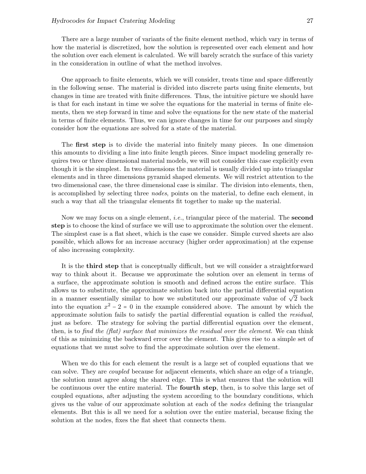There are a large number of variants of the finite element method, which vary in terms of how the material is discretized, how the solution is represented over each element and how the solution over each element is calculated. We will barely scratch the surface of this variety in the consideration in outline of what the method involves.

One approach to finite elements, which we will consider, treats time and space differently in the following sense. The material is divided into discrete parts using finite elements, but changes in time are treated with finite differences. Thus, the intuitive picture we should have is that for each instant in time we solve the equations for the material in terms of finite elements, then we step forward in time and solve the equations for the new state of the material in terms of finite elements. Thus, we can ignore changes in time for our purposes and simply consider how the equations are solved for a state of the material.

The first step is to divide the material into finitely many pieces. In one dimension this amounts to dividing a line into finite length pieces. Since impact modeling generally requires two or three dimensional material models, we will not consider this case explicitly even though it is the simplest. In two dimensions the material is usually divided up into triangular elements and in three dimensions pyramid shaped elements. We will restrict attention to the two dimensional case, the three dimensional case is similar. The division into elements, then, is accomplished by selecting three nodes, points on the material, to define each element, in such a way that all the triangular elements fit together to make up the material.

Now we may focus on a single element, *i.e.*, triangular piece of the material. The **second** step is to choose the kind of surface we will use to approximate the solution over the element. The simplest case is a flat sheet, which is the case we consider. Simple curved sheets are also possible, which allows for an increase accuracy (higher order approximation) at the expense of also increasing complexity.

It is the third step that is conceptually difficult, but we will consider a straightforward way to think about it. Because we approximate the solution over an element in terms of a surface, the approximate solution is smooth and defined across the entire surface. This allows us to substitute, the approximate solution back into the partial differential equation ahows us to substitute, the approximate solution back into the partial differential equation<br>in a manner essentially similar to how we substituted our approximate value of  $\sqrt{2}$  back into the equation  $x^2 - 2 = 0$  in the example considered above. The amount by which the approximate solution fails to satisfy the partial differential equation is called the residual, just as before. The strategy for solving the partial differential equation over the element, then, is to find the (flat) surface that minimizes the residual over the element. We can think of this as minimizing the backward error over the element. This gives rise to a simple set of equations that we must solve to find the approximate solution over the element.

When we do this for each element the result is a large set of coupled equations that we can solve. They are coupled because for adjacent elements, which share an edge of a triangle, the solution must agree along the shared edge. This is what ensures that the solution will be continuous over the entire material. The fourth step, then, is to solve this large set of coupled equations, after adjusting the system according to the boundary conditions, which gives us the value of our approximate solution at each of the nodes defining the triangular elements. But this is all we need for a solution over the entire material, because fixing the solution at the nodes, fixes the flat sheet that connects them.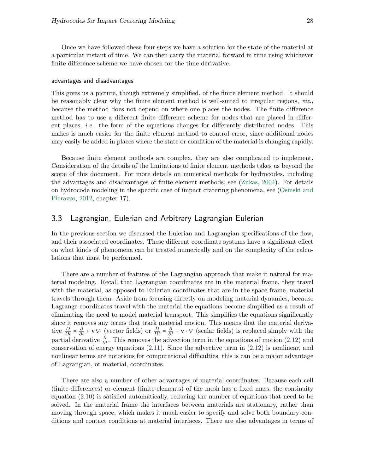Once we have followed these four steps we have a solution for the state of the material at a particular instant of time. We can then carry the material forward in time using whichever finite difference scheme we have chosen for the time derivative.

#### advantages and disadvantages

This gives us a picture, though extremely simplified, of the finite element method. It should be reasonably clear why the finite element method is well-suited to irregular regions,  $viz$ . because the method does not depend on where one places the nodes. The finite difference method has to use a different finite difference scheme for nodes that are placed in different places, i.e., the form of the equations changes for differently distributed nodes. This makes is much easier for the finite element method to control error, since additional nodes may easily be added in places where the state or condition of the material is changing rapidly.

Because finite element methods are complex, they are also complicated to implement. Consideration of the details of the limitations of finite element methods takes us beyond the scope of this document. For more details on numerical methods for hydrocodes, including the advantages and disadvantages of finite element methods, see [\(Zukas,](#page-37-0) [2004\)](#page-37-0). For details on hydrocode modeling in the specific case of impact cratering phenomena, see [\(Osinski and](#page-36-1) [Pierazzo,](#page-36-1) [2012,](#page-36-1) chapter 17).

## <span id="page-28-0"></span>3.3 Lagrangian, Eulerian and Arbitrary Lagrangian-Eulerian

In the previous section we discussed the Eulerian and Lagrangian specifications of the flow, and their associated coordinates. These different coordinate systems have a significant effect on what kinds of phenomena can be treated numerically and on the complexity of the calculations that must be performed.

There are a number of features of the Lagrangian approach that make it natural for material modeling. Recall that Lagrangian coordinates are in the material frame, they travel with the material, as opposed to Eulerian coordinates that are in the space frame, material travels through them. Aside from focusing directly on modeling material dynamics, because Lagrange coordinates travel with the material the equations become simplified as a result of eliminating the need to model material transport. This simplifies the equations significantly since it removes any terms that track material motion. This means that the material derivative  $\frac{D}{Dt} = \frac{\partial}{\partial t} + \mathbf{v} \nabla \cdot$  (vector fields) or  $\frac{D}{Dt} = \frac{\partial}{\partial t} + \mathbf{v} \cdot \nabla$  (scalar fields) is replaced simply with the partial derivative  $\frac{\partial}{\partial t}$ . This removes the advection term in the equations of motion [\(2.12\)](#page-15-3) and conservation of energy equations  $(2.11)$ . Since the advective term in  $(2.12)$  is nonlinear, and nonlinear terms are notorious for computational difficulties, this is can be a major advantage of Lagrangian, or material, coordinates.

There are also a number of other advantages of material coordinates. Because each cell (finite-differences) or element (finite-elements) of the mesh has a fixed mass, the continuity equation [\(2.10\)](#page-15-3) is satisfied automatically, reducing the number of equations that need to be solved. In the material frame the interfaces between materials are stationary, rather than moving through space, which makes it much easier to specify and solve both boundary conditions and contact conditions at material interfaces. There are also advantages in terms of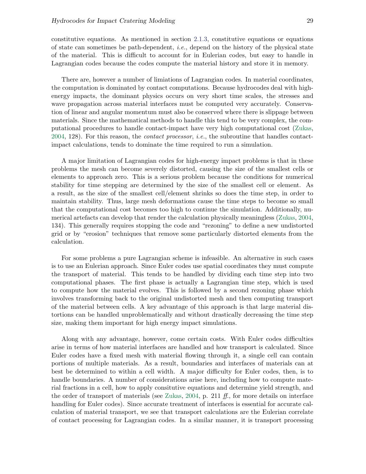constitutive equations. As mentioned in section [2.1.3,](#page-15-0) constitutive equations or equations of state can sometimes be path-dependent, i.e., depend on the history of the physical state of the material. This is difficult to account for in Eulerian codes, but easy to handle in Lagrangian codes because the codes compute the material history and store it in memory.

There are, however a number of limiations of Lagrangian codes. In material coordinates, the computation is dominated by contact computations. Because hydrocodes deal with highenergy impacts, the dominant physics occurs on very short time scales, the stresses and wave propagation across material interfaces must be computed very accurately. Conservation of linear and angular momentum must also be conserved where there is slippage between materials. Since the mathematical methods to handle this tend to be very complex, the computational procedures to handle contact-impact have very high computational cost [\(Zukas,](#page-37-0) [2004,](#page-37-0) 128). For this reason, the *contact processor*, *i.e.*, the subroutine that handles contactimpact calculations, tends to dominate the time required to run a simulation.

A major limitation of Lagrangian codes for high-energy impact problems is that in these problems the mesh can become severely distorted, causing the size of the smallest cells or elements to approach zero. This is a serious problem because the conditions for numerical stability for time stepping are determined by the size of the smallest cell or element. As a result, as the size of the smallest cell/element shrinks so does the time step, in order to maintain stability. Thus, large mesh deformations cause the time steps to become so small that the computational cost becomes too high to continue the simulation. Additionally, numerical artefacts can develop that render the calculation physically meaningless [\(Zukas,](#page-37-0) [2004,](#page-37-0) 134). This generally requires stopping the code and "rezoning" to define a new undistorted grid or by "erosion" techniques that remove some particularly distorted elements from the calculation.

For some problems a pure Lagrangian scheme is infeasible. An alternative in such cases is to use an Eulerian approach. Since Euler codes use spatial coordinates they must compute the transport of material. This tends to be handled by dividing each time step into two computational phases. The first phase is actually a Lagrangian time step, which is used to compute how the material evolves. This is followed by a second rezoning phase which involves transforming back to the original undistorted mesh and then computing transport of the material between cells. A key advantage of this approach is that large material distortions can be handled unproblematically and without drastically decreasing the time step size, making them important for high energy impact simulations.

Along with any advantage, however, come certain costs. With Euler codes difficulties arise in terms of how material interfaces are handled and how transport is calculated. Since Euler codes have a fixed mesh with material flowing through it, a single cell can contain portions of multiple materials. As a result, boundaries and interfaces of materials can at best be determined to within a cell width. A major difficulty for Euler codes, then, is to handle boundaries. A number of considerations arise here, including how to compute material fractions in a cell, how to apply consitutive equations and determine yield strength, and the order of transport of materials (see [Zukas,](#page-37-0) [2004,](#page-37-0) p. 211 ff., for more details on interface handling for Euler codes). Since accurate treatment of interfaces is essential for accurate calculation of material transport, we see that transport calculations are the Eulerian correlate of contact processing for Lagrangian codes. In a similar manner, it is transport processing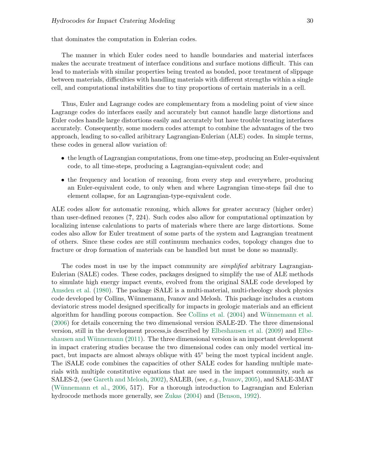that dominates the computation in Eulerian codes.

The manner in which Euler codes need to handle boundaries and material interfaces makes the accurate treatment of interface conditions and surface motions difficult. This can lead to materials with similar properties being treated as bonded, poor treatment of slippage between materials, difficulties with handling materials with different strengths within a single cell, and computational instabilities due to tiny proportions of certain materials in a cell.

Thus, Euler and Lagrange codes are complementary from a modeling point of view since Lagrange codes do interfaces easily and accurately but cannot handle large distortions and Euler codes handle large distortions easily and accurately but have trouble treating interfaces accurately. Consequently, some modern codes attempt to combine the advantages of the two approach, leading to so-called aribitrary Lagrangian-Eulerian (ALE) codes. In simple terms, these codes in general allow variation of:

- the length of Lagrangian computations, from one time-step, producing an Euler-equivalent code, to all time-steps, producing a Lagrangian-equivalent code; and
- the frequency and location of rezoning, from every step and everywhere, producing an Euler-equivalent code, to only when and where Lagrangian time-steps fail due to element collapse, for an Lagrangian-type-equivalent code.

ALE codes allow for automatic rezoning, which allows for greater accuracy (higher order) than user-defined rezones (?, 224). Such codes also allow for computational optimzation by localizing intense calculations to parts of materials where there are large distortions. Some codes also allow for Euler treatment of some parts of the system and Lagrangian treatment of others. Since these codes are still continuum mechanics codes, topology changes due to fracture or drop formation of materials can be handled but must be done so manually.

The codes most in use by the impact community are *simplified* arbitrary Lagrangian-Eulerian (SALE) codes. These codes, packages designed to simplify the use of ALE methods to simulate high energy impact events, evolved from the original SALE code developed by [Amsden et al.](#page-36-8) [\(1980\)](#page-36-8). The package iSALE is a multi-material, multi-rheology shock physics code developed by Collins, W¨unnemann, Ivanov and Melosh. This package includes a custom deviatoric stress model designed specifically for impacts in geologic materials and an efficient algorithm for handling porous compaction. See [Collins et al.](#page-36-9)  $(2004)$  and Wünnemann et al. [\(2006\)](#page-37-2) for details concerning the two dimensional version iSALE-2D. The three dimensional version, still in the development process,is described by [Elbeshausen et al.](#page-36-10) [\(2009\)](#page-36-10) and [Elbe-](#page-36-11)shausen and Wünnemann [\(2011\)](#page-36-11). The three dimensional version is an important development in impact cratering studies because the two dimensional codes can only model vertical impact, but impacts are almost always oblique with 45○ being the most typical incident angle. The iSALE code combines the capacities of other SALE codes for handing multiple materials with multiple constitutive equations that are used in the impact community, such as SALES-2, (see [Gareth and Melosh,](#page-36-12) [2002\)](#page-36-12), SALEB, (see, e.g., [Ivanov,](#page-36-13) [2005\)](#page-36-13), and SALE-3MAT (Wünnemann et al., [2006,](#page-37-2) 517). For a thorough introduction to Lagrangian and Eulerian hydrocode methods more generally, see [Zukas](#page-37-0) [\(2004\)](#page-37-0) and [\(Benson,](#page-36-0) [1992\)](#page-36-0).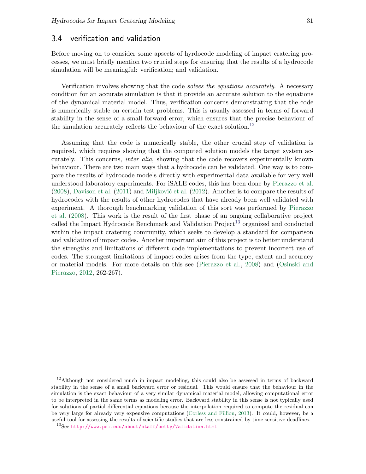### <span id="page-31-0"></span>3.4 verification and validation

Before moving on to consider some apsects of hyrdocode modeling of impact cratering processes, we must briefly mention two crucial steps for ensuring that the results of a hydrocode simulation will be meaningful: verification; and validation.

Verification involves showing that the code solves the equations accurately. A necessary condition for an accurate simulation is that it provide an accurate solution to the equations of the dynamical material model. Thus, verification concerns demonstrating that the code is numerically stable on certain test problems. This is usually assessed in terms of forward stability in the sense of a small forward error, which ensures that the precise behaviour of the simulation accurately reflects the behaviour of the exact solution.<sup>[12](#page-31-1)</sup>

Assuming that the code is numerically stable, the other crucial step of validation is required, which requires showing that the computed solution models the target system accurately. This concerns, inter alia, showing that the code recovers experimentally known behaviour. There are two main ways that a hydrocode can be validated. One way is to compare the results of hydrocode models directly with experimental data available for very well understood laboratory experiments. For iSALE codes, this has been done by [Pierazzo et al.](#page-37-3)  $(2008)$ , [Davison et al.](#page-36-14)  $(2011)$  and Miljković et al.  $(2012)$ . Another is to compare the results of hydrocodes with the results of other hydrocodes that have already been well validated with experiment. A thorough benchmarking validation of this sort was performed by [Pierazzo](#page-37-3) [et al.](#page-37-3) [\(2008\)](#page-37-3). This work is the result of the first phase of an ongoing collaborative project called the Impact Hydrocode Benchmark and Validation  $Project<sup>13</sup>$  $Project<sup>13</sup>$  $Project<sup>13</sup>$  organized and conducted within the impact cratering community, which seeks to develop a standard for comparison and validation of impact codes. Another important aim of this project is to better understand the strengths and limitations of different code implementations to prevent incorrect use of codes. The strongest limitations of impact codes arises from the type, extent and accuracy or material models. For more details on this see [\(Pierazzo et al.,](#page-37-3) [2008\)](#page-37-3) and [\(Osinski and](#page-36-1) [Pierazzo,](#page-36-1) [2012,](#page-36-1) 262-267).

<span id="page-31-1"></span> $12$ Although not considered much in impact modeling, this could also be assessed in terms of backward stability in the sense of a small backward error or residual. This would ensure that the behaviour in the simulation is the exact behaviour of a very similar dynamical material model, allowing computational error to be interpreted in the same terms as modeling error. Backward stability in this sense is not typically used for solutions of partial differential equations because the interpolation required to compute the residual can be very large for already very expensive computations [\(Corless and Fillion,](#page-36-3) [2013\)](#page-36-3). It could, however, be a useful tool for assessing the results of scientific studies that are less constrained by time-sensitive deadlines.

<span id="page-31-2"></span><sup>13</sup>See <http://www.psi.edu/about/staff/betty/Validation.html>.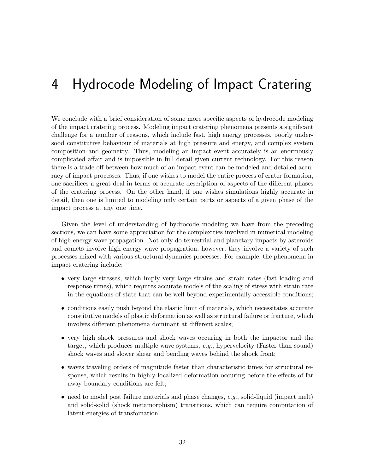# <span id="page-32-0"></span>4 Hydrocode Modeling of Impact Cratering

We conclude with a brief consideration of some more specific aspects of hydrocode modeling of the impact cratering process. Modeling impact cratering phenomena presents a significant challenge for a number of reasons, which include fast, high energy processes, poorly undersood constitutive behaviour of materials at high pressure and energy, and complex system composition and geometry. Thus, modeling an impact event accurately is an enormously complicated affair and is impossible in full detail given current technology. For this reason there is a trade-off between how much of an impact event can be modeled and detailed accuracy of impact processes. Thus, if one wishes to model the entire process of crater formation, one sacrifices a great deal in terms of accurate description of aspects of the different phases of the cratering process. On the other hand, if one wishes simulations highly accurate in detail, then one is limited to modeling only certain parts or aspects of a given phase of the impact process at any one time.

Given the level of understanding of hydrocode modeling we have from the preceding sections, we can have some appreciation for the complexities involved in numerical modeling of high energy wave propagation. Not only do terrestrial and planetary impacts by asteroids and comets involve high energy wave propagration, however, they involve a variety of such processes mixed with various structural dynamics processes. For example, the phenomena in impact cratering include:

- very large stresses, which imply very large strains and strain rates (fast loading and response times), which requires accurate models of the scaling of stress with strain rate in the equations of state that can be well-beyond experimentally accessible conditions;
- conditions easily push beyond the elastic limit of materials, which necessitates accurate constitutive models of plastic deformation as well as structural failure or fracture, which involves different phenomena dominant at different scales;
- very high shock pressures and shock waves occuring in both the impactor and the target, which produces multiple wave systems, e.g., hypervelocity (Faster than sound) shock waves and slower shear and bending waves behind the shock front;
- waves traveling orders of magnitude faster than characteristic times for structural response, which results in highly localized deformation occuring before the effects of far away boundary conditions are felt;
- need to model post failure materials and phase changes,  $e.g.,$  solid-liquid (impact melt) and solid-solid (shock metamorphism) transitions, which can require computation of latent energies of transfomation;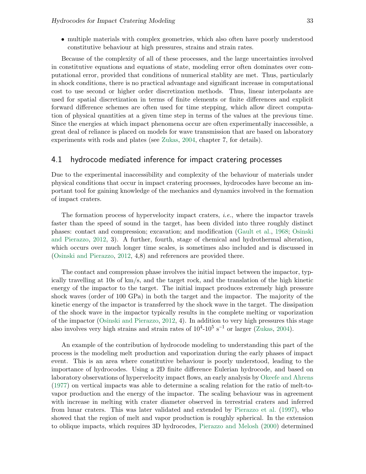• multiple materials with complex geometries, which also often have poorly understood constitutive behaviour at high pressures, strains and strain rates.

Because of the complexity of all of these processes, and the large uncertainties involved in constitutive equations and equations of state, modeling error often dominates over computational error, provided that conditions of numerical stablity are met. Thus, particularly in shock conditions, there is no practical advantage and significant increase in computational cost to use second or higher order discretization methods. Thus, linear interpolants are used for spatial discretization in terms of finite elements or finite differences and explicit forward difference schemes are often used for time stepping, which allow direct computation of physical quantities at a given time step in terms of the values at the previous time. Since the energies at which impact phenomena occur are often experimentally inaccessible, a great deal of reliance is placed on models for wave transmission that are based on laboratory experiments with rods and plates (see [Zukas,](#page-37-0) [2004,](#page-37-0) chapter 7, for details).

## <span id="page-33-0"></span>4.1 hydrocode mediated inference for impact cratering processes

Due to the experimental inaccessibility and complexity of the behaviour of materials under physical conditions that occur in impact cratering processes, hydrocodes have become an important tool for gaining knowledge of the mechanics and dynamics involved in the formation of impact craters.

The formation process of hypervelocity impact craters, *i.e.*, where the impactor travels faster than the speed of sound in the target, has been divided into three roughly distinct phases: contact and compression; excavation; and modification [\(Gault et al.,](#page-36-16) [1968;](#page-36-16) [Osinski](#page-36-1) [and Pierazzo,](#page-36-1) [2012,](#page-36-1) 3). A further, fourth, stage of chemical and hydrothermal alteration, which occurs over much longer time scales, is sometimes also included and is discussed in [\(Osinski and Pierazzo,](#page-36-1) [2012,](#page-36-1) 4,8) and references are provided there.

The contact and compression phase involves the initial impact between the impactor, typically travelling at 10s of km/s, and the target rock, and the translation of the high kinetic energy of the impactor to the target. The initial impact produces extremely high pressure shock waves (order of 100 GPa) in both the target and the impactor. The majority of the kinetic energy of the impactor is transferred by the shock wave in the target. The dissipation of the shock wave in the impactor typically results in the complete melting or vaporization of the impactor [\(Osinski and Pierazzo,](#page-36-1) [2012,](#page-36-1) 4). In addition to very high pressures this stage also involves very high strains and strain rates of  $10^4$ - $10^5$  s<sup>-1</sup> or larger [\(Zukas,](#page-37-0) [2004\)](#page-37-0).

An example of the contribution of hydrocode modeling to understanding this part of the process is the modeling melt production and vaporization during the early phases of impact event. This is an area where constitutive behaviour is poorly understood, leading to the importance of hydrocodes. Using a 2D finite difference Eulerian hydrocode, and based on laboratory observations of hypervelocity impact flows, an early analysis by [Okeefe and Ahrens](#page-36-17) [\(1977\)](#page-36-17) on vertical impacts was able to determine a scaling relation for the ratio of melt-tovapor production and the energy of the impactor. The scaling behaviour was in agreement with increase in melting with crater diameter observed in terrestrial craters and inferred from lunar craters. This was later validated and extended by [Pierazzo et al.](#page-37-4) [\(1997\)](#page-37-4), who showed that the region of melt and vapor production is roughly spherical. In the extension to oblique impacts, which requires 3D hydrocodes, [Pierazzo and Melosh](#page-37-5) [\(2000\)](#page-37-5) determined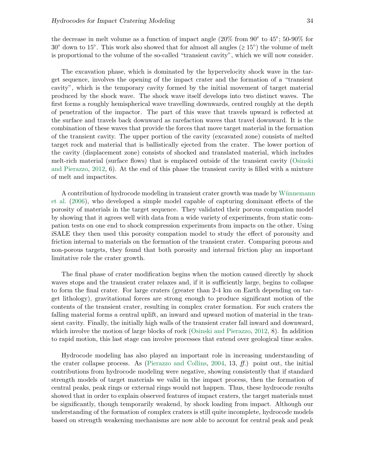the decrease in melt volume as a function of impact angle  $(20\%$  from  $90^{\circ}$  to  $45^{\circ}$ ; 50-90% for  $30^{\circ}$  down to  $15^{\circ}$ . This work also showed that for almost all angles ( $\geq 15^{\circ}$ ) the volume of melt is proportional to the volume of the so-called "transient cavity", which we will now consider.

The excavation phase, which is dominated by the hypervelocity shock wave in the target sequence, involves the opening of the impact crater and the formation of a "transient cavity", which is the temporary cavity formed by the initial movement of target material produced by the shock wave. The shock wave itself develops into two distinct waves. The first forms a roughly hemispherical wave travelling downwards, centred roughly at the depth of penetration of the impactor. The part of this wave that travels upward is reflected at the surface and travels back downward as rarefaction waves that travel downward. It is the combination of these waves that provide the forces that move target material in the formation of the transient cavity. The upper portion of the cavity (excavated zone) consists of melted target rock and material that is ballistically ejected from the crater. The lower portion of the cavity (displacement zone) consists of shocked and translated material, which includes melt-rich material (surface flows) that is emplaced outside of the transient cavity [\(Osinski](#page-36-1) [and Pierazzo,](#page-36-1) [2012,](#page-36-1) 6). At the end of this phase the transient cavity is filled with a mixture of melt and impactites.

A contribution of hydrocode modeling in transient crater growth was made by Wünnemann [et al.](#page-37-2) [\(2006\)](#page-37-2), who developed a simple model capable of capturing dominant effects of the porosity of materials in the target sequence. They validated their porous compation model by showing that it agrees well with data from a wide variety of experiments, from static compation tests on one end to shock compression experiments from impacts on the other. Using iSALE they then used this porosity compation model to study the effect of porousity and friction internal to materials on the formation of the transient crater. Comparing porous and non-porous targets, they found that both porosity and internal friction play an important limitative role the crater growth.

The final phase of crater modification begins when the motion caused directly by shock waves stops and the transient crater relaxes and, if it is sufficiently large, begins to collapse to form the final crater. For large craters (greater than 2-4 km on Earth depending on target lithology), gravitational forces are strong enough to produce significant motion of the contents of the transient crater, resulting in complex crater formation. For such craters the falling material forms a central uplift, an inward and upward motion of material in the transient cavity. Finally, the initially high walls of the transient crater fall inward and downward, which involve the motion of large blocks of rock [\(Osinski and Pierazzo,](#page-36-1) [2012,](#page-36-1) 8). In addition to rapid motion, this last stage can involve processes that extend over geological time scales.

Hydrocode modeling has also played an important role in increasing understanding of the crater collapse process. As [\(Pierazzo and Collins,](#page-37-6) [2004,](#page-37-6) 13,  $ff$ .) point out, the initial contributions from hydrocode modeling were negative, showing consistently that if standard strength models of target materials we valid in the impact process, then the formation of central peaks, peak rings or external rings would not happen. Thus, these hydrocode results showed that in order to explain observed features of impact craters, the target materials must be significantly, though temporarily weakend, by shock loading from impact. Although our understanding of the formation of complex craters is still quite incomplete, hydrocode models based on strength weakening mechanisms are now able to account for central peak and peak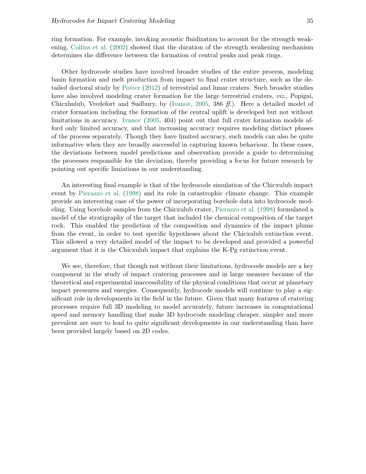ring formation. For example, invoking acoustic fluidization to account for the strength weakening, [Collins et al.](#page-36-18) [\(2002\)](#page-36-18) showed that the duration of the strength weakening mechanism determines the difference between the formation of central peaks and peak rings.

Other hydrocode studies have involved broader studies of the entire process, modeling basin formation and melt production from impact to final crater structure, such as the detailed doctoral study by [Potter](#page-37-7) [\(2012\)](#page-37-7) of terrestrial and lunar craters. Such broader studies have also involved modeling crater formation for the large terrestrial craters, *viz.*, Popigai, Chicxhulub, Vredefort and Sudbury, by [\(Ivanov,](#page-36-13) [2005,](#page-36-13) 386 ff.). Here a detailed model of crater formation including the formation of the central uplift is developed but not without limitations in accuracy. [Ivanov](#page-36-13) [\(2005,](#page-36-13) 404) point out that full crater formation models afford only limited accuracy, and that increasing accuracy requires modeling distinct phases of the process separately. Though they have limited accuracy, such models can also be quite informative when they are broadly successful in capturing known behaviour. In these cases, the deviations between model predictions and observation provide a guide to determining the processes responsible for the deviation, thereby providing a focus for future research by pointing out specific limiations in our understanding.

An interesting final example is that of the hydrocode simulation of the Chicxulub impact event by [Pierazzo et al.](#page-37-8) [\(1998\)](#page-37-8) and its role in catastrophic climate change. This example provide an interesting case of the power of incorporating borehole data into hydrocode modeling. Using borehole samples from the Chicxulub crater, [Pierazzo et al.](#page-37-8) [\(1998\)](#page-37-8) formulated a model of the stratigraphy of the target that included the chemical composition of the target rock. This enabled the prediction of the composition and dynamics of the impact plume from the event, in order to test specific hypotheses about the Chicxulub extinction event. This allowed a very detailed model of the impact to be developed and provided a powerful argument that it is the Chicxulub impact that explains the K-Pg extinction event.

We see, therefore, that though not without their limitations, hydrocode models are a key component in the study of impact cratering processes and in large measure because of the theoretical and experimental inaccessibility of the physical conditions that occur at planetary impact pressures and energies. Consequently, hydrocode models will continue to play a significant role in developments in the field in the future. Given that many features of cratering processes require full 3D modeling to model accurately, future increases in computational speed and memory handling that make 3D hydrocode modeling cheaper, simpler and more prevalent are sure to lead to quite significant developments in our understanding than have been provided largely based on 2D codes.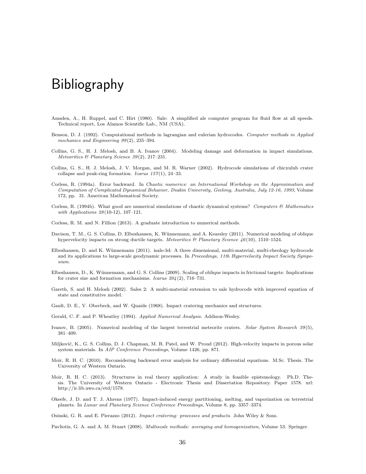## Bibliography

- <span id="page-36-8"></span>Amsden, A., H. Ruppel, and C. Hirt (1980). Sale: A simplified ale computer program for fluid flow at all speeds. Technical report, Los Alamos Scientific Lab., NM (USA).
- <span id="page-36-0"></span>Benson, D. J. (1992). Computational methods in lagrangian and eulerian hydrocodes. Computer methods in Applied mechanics and Engineering  $99(2)$ , 235-394.
- <span id="page-36-9"></span>Collins, G. S., H. J. Melosh, and B. A. Ivanov (2004). Modeling damage and deformation in impact simulations. Meteoritics & Planetary Science 39 (2), 217–231.
- <span id="page-36-18"></span>Collins, G. S., H. J. Melosh, J. V. Morgan, and M. R. Warner (2002). Hydrocode simulations of chicxulub crater collapse and peak-ring formation. Icarus  $157(1)$ , 24-33.
- Corless, R. (1994a). Error backward. In Chaotic numerics: an International Workshop on the Approximation and Computation of Complicated Dynamical Behavior, Deakin University, Geelong, Australia, July 12-16, 1993, Volume 172, pp. 31. American Mathematical Society.
- <span id="page-36-6"></span>Corless, R. (1994b). What good are numerical simulations of chaotic dynamical systems? Computers & Mathematics with Applications  $28(10-12)$ , 107-121.

<span id="page-36-3"></span>Corless, R. M. and N. Fillion (2013). A graduate introduction to numerical methods.

- <span id="page-36-14"></span>Davison, T. M., G. S. Collins, D. Elbeshausen, K. W¨unnemann, and A. Kearsley (2011). Numerical modeling of oblique hypervelocity impacts on strong ductile targets. Meteoritics & Planetary Science 46(10), 1510–1524.
- <span id="page-36-11"></span>Elbeshausen, D. and K. Wünnemann (2011). isale-3d: A three dimensional, multi-material, multi-rheology hydrocode and its applications to large-scale geodynamic processes. In Proceedings, 11th Hypervelocity Impact Society Symposium.
- <span id="page-36-10"></span>Elbeshausen, D., K. Wünnemann, and G. S. Collins (2009). Scaling of oblique impacts in frictional targets: Implications for crater size and formation mechanisms. *Icarus*  $204(2)$ , 716–731.
- <span id="page-36-12"></span>Gareth, S. and H. Melosh (2002). Sales 2: A multi-material extension to sale hydrocode with improved equation of state and constitutive model.
- <span id="page-36-16"></span>Gault, D. E., V. Oberbeck, and W. Quaide (1968). Impact cratering mechanics and structures.
- <span id="page-36-7"></span>Gerald, C. F. and P. Wheatley (1994). Applied Numerical Analysis. Addison-Wesley.
- <span id="page-36-13"></span>Ivanov, B. (2005). Numerical modeling of the largest terrestrial meteorite craters. Solar System Research 39(5), 381–409.
- <span id="page-36-15"></span>Miljković, K., G. S. Collins, D. J. Chapman, M. R. Patel, and W. Proud (2012). High-velocity impacts in porous solar system materials. In AIP Conference Proceedings, Volume 1426, pp. 871.
- <span id="page-36-5"></span>Moir, R. H. C. (2010). Reconsidering backward error analysis for ordinary differential equations. M.Sc. Thesis. The University of Western Ontario.
- <span id="page-36-4"></span>Moir, R. H. C. (2013). Structures in real theory application: A study in feasible epistemology. Ph.D. Thesis. The University of Western Ontario - Electronic Thesis and Dissertation Repository. Paper 1578. url: http://ir.lib.uwo.ca/etd/1578.
- <span id="page-36-17"></span>Okeefe, J. D. and T. J. Ahrens (1977). Impact-induced energy partitioning, melting, and vaporization on terrestrial planets. In Lunar and Planetary Science Conference Proceedings, Volume 8, pp. 3357–3374.

<span id="page-36-1"></span>Osinski, G. R. and E. Pierazzo (2012). Impact cratering: processes and products. John Wiley & Sons.

<span id="page-36-2"></span>Pavliotis, G. A. and A. M. Stuart (2008). *Multiscale methods: averaging and homogenization*, Volume 53. Springer.